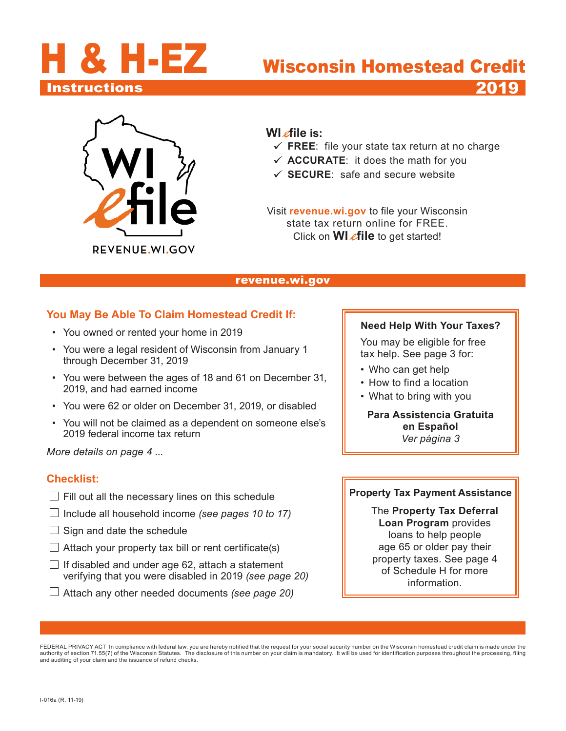<span id="page-0-0"></span>

# Instructions 2019



#### **WI** efile is:

- **FREE**: file your state tax return at no charge
- $\checkmark$  **ACCURATE**: it does the math for you
- **SECURE**: safe and secure website

Visit **[revenue.wi.gov](https://www.revenue.wi.gov)** to file your Wisconsin state tax return online for FREE. Click on **WI efile** to get started!

#### [revenue.wi.gov](https://www.revenue.wi.gov)

#### **You May Be Able To Claim Homestead Credit If:**

- You owned or rented your home in 2019
- You were a legal resident of Wisconsin from January 1 through December 31, 2019
- You were between the ages of 18 and 61 on December 31, 2019, and had earned income
- You were 62 or older on December 31, 2019, or disabled
- You will not be claimed as a dependent on someone else's 2019 federal income tax return

*More details on page 4 ...*

#### **Checklist:**

- $\Box$  Fill out all the necessary lines on this schedule
- Include all household income *(see pages 10 to 17)*
- $\Box$  Sign and date the schedule
- $\Box$  Attach your property tax bill or rent certificate(s)
- $\Box$  If disabled and under age 62, attach a statement verifying that you were disabled in 2019 *(see page 20)*
- Attach any other needed documents *(see page 20)*

#### **Need Help With Your Taxes?**

 You may be eligible for free tax help. See page 3 for:

- Who can get help
- How to find a location
- What to bring with you

**Para Assistencia Gratuita en Español** *Ver página 3*

#### **Property Tax Payment Assistance**

The **Property Tax Deferral Loan Program** provides loans to help people age 65 or older pay their property taxes. See page 4 of Schedule H for more information.

FEDERAL PRIVACY ACT In compliance with federal law, you are hereby notified that the request for your social security number on the Wisconsin homestead credit claim is made under the authority of section 71.55(7) of the Wisconsin Statutes. The disclosure of this number on your claim is mandatory. It will be used for identification purposes throughout the processing, filing and auditing of your claim and the issuance of refund checks.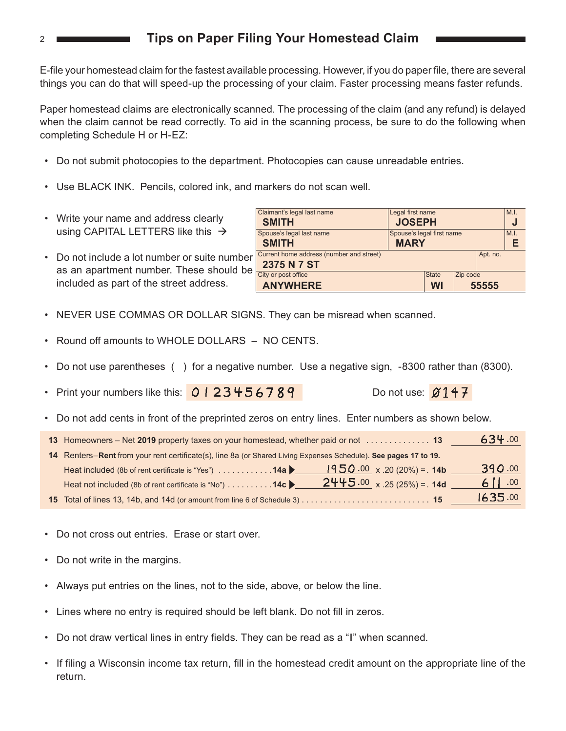### **Tips on Paper Filing Your Homestead Claim**

E-file your homestead claim for the fastest available processing. However, if you do paper file, there are several things you can do that will speed-up the processing of your claim. Faster processing means faster refunds.

Paper homestead claims are electronically scanned. The processing of the claim (and any refund) is delayed when the claim cannot be read correctly. To aid in the scanning process, be sure to do the following when completing Schedule H or H-EZ:

- Do not submit photocopies to the department. Photocopies can cause unreadable entries.
- Use BLACK INK. Pencils, colored ink, and markers do not scan well.
- Write your name and address clearly using CAPITAL LETTERS like this  $\rightarrow$
- Do not include a lot number or suite number as an apartment number. These should be included as part of the street address.

| Claimant's legal last name               | Legal first name          |              |          |          | M.I. |  |
|------------------------------------------|---------------------------|--------------|----------|----------|------|--|
| <b>JOSEPH</b><br><b>SMITH</b>            |                           |              |          |          |      |  |
| Spouse's legal last name                 | Spouse's legal first name |              | M.I.     |          |      |  |
| <b>SMITH</b><br><b>MARY</b>              |                           |              |          |          | F    |  |
| Current home address (number and street) |                           |              |          | Apt. no. |      |  |
| 2375 N 7 ST                              |                           |              |          |          |      |  |
| City or post office                      |                           | <b>State</b> | Zip code |          |      |  |
| <b>ANYWHERE</b>                          |                           | <b>WI</b>    |          | 55555    |      |  |

- NEVER USE COMMAS OR DOLLAR SIGNS. They can be misread when scanned.
- Round off amounts to WHOLE DOLLARS NO CENTS.
- Do not use parentheses () for a negative number. Use a negative sign, -8300 rather than (8300).
- Print your numbers like this:  $\sqrt{0}123456789$  Do not use:  $\cancel{0147}$
- Do not add cents in front of the preprinted zeros on entry lines. Enter numbers as shown below.

| 13 Homeowners - Net 2019 property taxes on your homestead, whether paid or not  13                               | 634.00    |
|------------------------------------------------------------------------------------------------------------------|-----------|
| 14 Renters-Rent from your rent certificate(s), line 8a (or Shared Living Expenses Schedule). See pages 17 to 19. |           |
| Heat included (8b of rent certificate is "Yes") 14a   $ 950.00 \times .20 (20\%) = .14b$                         | 390.00    |
| $2445.00 \times 0.25(25%) = 14d$<br>Heat not included (8b of rent certificate is "No") 14c                       | 6 $11.00$ |
|                                                                                                                  | 1635.00   |

- Do not cross out entries. Erase or start over.
- Do not write in the margins.
- Always put entries on the lines, not to the side, above, or below the line.
- Lines where no entry is required should be left blank. Do not fill in zeros.
- Do not draw vertical lines in entry fields. They can be read as a "I" when scanned.
- • If filing a Wisconsin income tax return, fill in the homestead credit amount on the appropriate line of the return.

2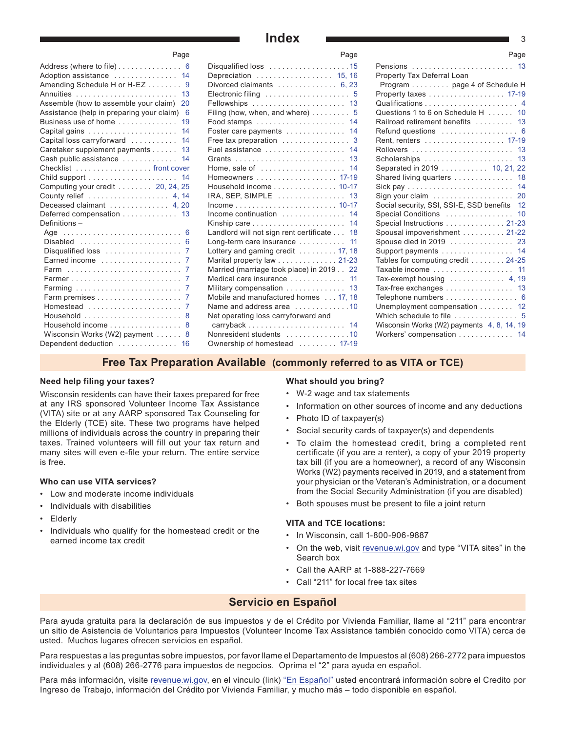#### **Index** 3

| ı ayu                                          |  |
|------------------------------------------------|--|
| Address (where to file)  6                     |  |
| Adoption assistance  14                        |  |
| Amending Schedule H or H-EZ<br>- 9             |  |
| Annuities<br>13                                |  |
| Assemble (how to assemble your claim)<br>20    |  |
| Assistance (help in preparing your claim)<br>6 |  |
| Business use of home<br>19                     |  |
| 14                                             |  |
| Capital loss carryforward<br>14                |  |
| Caretaker supplement payments<br>13            |  |
| Cash public assistance<br>14                   |  |
|                                                |  |
| 14                                             |  |
| Computing your credit $\ldots$ 20, 24, 25      |  |
| County relief 4, 14                            |  |
| Deceased claimant  4, 20                       |  |
| Deferred compensation<br>13                    |  |
| Definitions-                                   |  |
| 6<br>Age                                       |  |
| Disabled<br>6                                  |  |
| Disqualified loss<br>7                         |  |
| Earned income<br>7                             |  |
| 7<br>Farm                                      |  |
| 7                                              |  |
| Farming<br>7                                   |  |
| 7                                              |  |
| Homestead<br>7                                 |  |
| 8                                              |  |
| Household income<br>8                          |  |
| Wisconsin Works (W2) payment<br>8              |  |
| Dependent deduction<br>16                      |  |

Page

| Disqualified loss 15                          |
|-----------------------------------------------|
| Depreciation  15, 16                          |
| Divorced claimants  6, 23                     |
| Electronic filing  5                          |
| Fellowships  13                               |
| Filing (how, when, and where) $\dots \dots$ 5 |
| Food stamps  14                               |
| Foster care payments  14                      |
| Free tax preparation  3                       |
|                                               |
|                                               |
| Home, sale of $\ldots$<br>14                  |
| Homeowners  17-19                             |
| Household income 10-17                        |
| 13<br>$IRA, SEP, SIMPLE$                      |
| Income 10-17                                  |
| Income continuation  14                       |
| Kinship care  14                              |
| Landlord will not sign rent certificate 18    |
| 11<br>Long-term care insurance                |
| Lottery and gaming credit 17, 18              |
| Marital property law 21-23                    |
| Married (marriage took place) in 2019 22      |
| Medical care insurance  11                    |
| Military compensation  13                     |
| Mobile and manufactured homes 17. 18          |
| Name and address area 10                      |
| Net operating loss carryforward and           |
| carryback  14                                 |
| Nonresident students 10                       |
| Ownership of homestead  17-19                 |
|                                               |

| Page                              | Page                                                       |
|-----------------------------------|------------------------------------------------------------|
| .15                               | 13<br>Pensions                                             |
| 5.16                              | Property Tax Deferral Loan                                 |
| 6, 23                             | Program page 4 of Schedule H                               |
| $\therefore$ 5                    | Property taxes 17-19                                       |
| .13                               |                                                            |
| $\therefore$ 5                    | Questions 1 to 6 on Schedule H 10                          |
| .14                               | Railroad retirement benefits  13                           |
| .14                               | Refund questions $\ldots \ldots \ldots \ldots \ldots$ 6    |
| $\therefore$ 3                    | Rent, renters 17-19                                        |
| .14                               |                                                            |
| .13                               | Scholarships  13                                           |
| $\mathbb{R}^{\mathbb{Z}^2}$<br>14 | Separated in 2019 10, 21, 22                               |
| 17-19                             | Shared living quarters  18                                 |
| $10 - 17$                         |                                                            |
| .13                               | Sign your claim $\ldots \ldots \ldots \ldots \ldots$<br>20 |
| $10 - 17$                         | Social security, SSI, SSI-E, SSD benefits 12               |
| .14                               | 10<br>Special Conditions                                   |
| .14                               | Special Instructions 21-23                                 |
| 18                                | Spousal impoverishment 21-22                               |
| 11                                |                                                            |
| 17, 18                            | Support payments  14                                       |
| $21 - 23$                         | Tables for computing credit 24-25                          |
| .22                               | Taxable income  11                                         |
| .11                               | Tax-exempt housing  4, 19                                  |
| 13                                | Tax-free exchanges 13                                      |
| 7.18                              | Telephone numbers 6                                        |
| . .10                             | Unemployment compensation 12                               |
|                                   | Which schedule to file  5                                  |
| .14                               | Wisconsin Works (W2) payments 4, 8, 14, 19                 |
| .10                               | Workers' compensation 14                                   |
| 17-19                             |                                                            |

#### **Free Tax Preparation Available (commonly referred to as VITA or TCE)**

#### **Need help filing your taxes?**

Wisconsin residents can have their taxes prepared for free at any IRS sponsored Volunteer Income Tax Assistance (VITA) site or at any AARP sponsored Tax Counseling for the Elderly (TCE) site. These two programs have helped millions of individuals across the country in preparing their taxes. Trained volunteers will fill out your tax return and many sites will even e-file your return. The entire service is free.

#### **Who can use VITA services?**

- Low and moderate income individuals
- Individuals with disabilities
- Elderly
- Individuals who qualify for the homestead credit or the earned income tax credit

#### **What should you bring?**

- W-2 wage and tax statements
- Information on other sources of income and any deductions
- Photo ID of taxpayer(s)
- Social security cards of taxpayer(s) and dependents
- To claim the homestead credit, bring a completed rent certificate (if you are a renter), a copy of your 2019 property tax bill (if you are a homeowner), a record of any Wisconsin Works (W2) payments received in 2019, and a statement from your physician or the Veteran's Administration, or a document from the Social Security Administration (if you are disabled)
- Both spouses must be present to file a joint return

#### **VITA and TCE locations:**

- In Wisconsin, call 1-800-906-9887
- On the web, visit [revenue.wi.gov](https://www.revenue.wi.gov) and type "VITA sites" in the Search box
- Call the AARP at 1-888-227-7669
- Call "211" for local free tax sites

#### **Servicio en Español**

Para ayuda gratuita para la declaración de sus impuestos y de el Crédito por Vivienda Familiar, llame al "211" para encontrar un sitio de Asistencia de Voluntarios para Impuestos (Volunteer Income Tax Assistance también conocido como VITA) cerca de usted. Muchos lugares ofrecen servicios en español.

Para respuestas a las preguntas sobre impuestos, por favor llame el Departamento de Impuestos al (608) 266-2772 para impuestos individuales y al (608) 266‑2776 para impuestos de negocios. Oprima el "2" para ayuda en español.

Para más información, visite [revenue.wi.gov](https://www.revenue.wi.gov), en el vinculo (link) "[En Español"](https://www.revenue.wi.gov/Pages/HTML/espanol.aspx) usted encontrará información sobre el Credito por Ingreso de Trabajo, información del Crédito por Vivienda Familiar, y mucho más – todo disponible en español.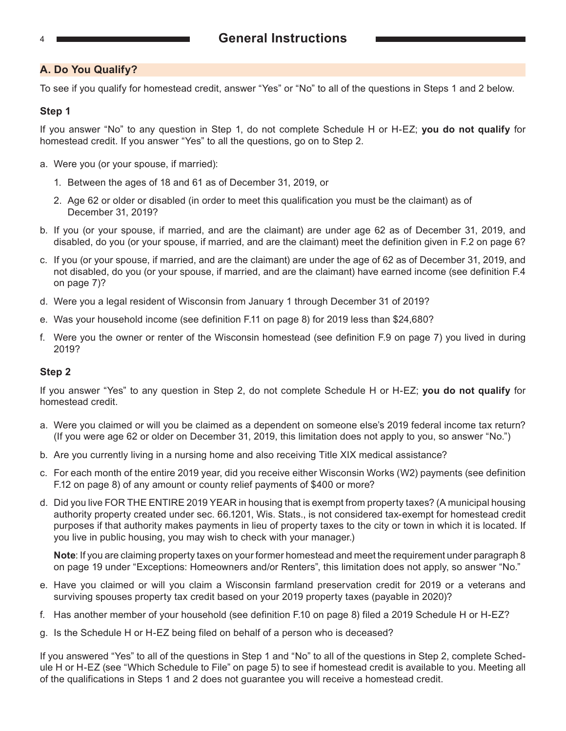<span id="page-3-0"></span>

#### **A. Do You Qualify?**

To see if you qualify for homestead credit, answer "Yes" or "No" to all of the questions in Steps 1 and 2 below.

#### **Step 1**

If you answer "No" to any question in Step 1, do not complete Schedule H or H‑EZ; **you do not qualify** for homestead credit. If you answer "Yes" to all the questions, go on to Step 2.

- a. Were you (or your spouse, if married):
	- 1. Between the ages of 18 and 61 as of December 31, 2019, or
	- 2. Age 62 or older or disabled (in order to meet this qualification you must be the claimant) as of December 31, 2019?
- b. If you (or your spouse, if married, and are the claimant) are under age 62 as of December 31, 2019, and disabled, do you (or your spouse, if married, and are the claimant) meet the definition given in F.2 on page 6?
- c. If you (or your spouse, if married, and are the claimant) are under the age of 62 as of December 31, 2019, and not disabled, do you (or your spouse, if married, and are the claimant) have earned income (see definition F.4 on page 7)?
- d. Were you a legal resident of Wisconsin from January 1 through December 31 of 2019?
- e. Was your household income (see definition F.11 on page 8) for 2019 less than \$24,680?
- f. Were you the owner or renter of the Wisconsin homestead (see definition F.9 on page 7) you lived in during 2019?

#### **Step 2**

If you answer "Yes" to any question in Step 2, do not complete Schedule H or H‑EZ; **you do not qualify** for homestead credit.

- a. Were you claimed or will you be claimed as a dependent on someone else's 2019 federal income tax return? (If you were age 62 or older on December 31, 2019, this limitation does not apply to you, so answer "No.")
- b. Are you currently living in a nursing home and also receiving Title XIX medical assistance?
- c. For each month of the entire 2019 year, did you receive either Wisconsin Works (W2) payments (see definition F.12 on page 8) of any amount or county relief payments of \$400 or more?
- d. Did you live FOR THE ENTIRE 2019 YEAR in housing that is exempt from property taxes? (A municipal housing authority property created under sec. 66.1201, Wis. Stats., is not considered tax-exempt for homestead credit purposes if that authority makes payments in lieu of property taxes to the city or town in which it is located. If you live in public housing, you may wish to check with your manager.)

**Note**: If you are claiming property taxes on your former homestead and meet the requirement under paragraph 8 on page 19 under "Exceptions: Homeowners and/or Renters", this limitation does not apply, so answer "No."

- e. Have you claimed or will you claim a Wisconsin farmland preservation credit for 2019 or a veterans and surviving spouses property tax credit based on your 2019 property taxes (payable in 2020)?
- f. Has another member of your household (see definition F.10 on page 8) filed a 2019 Schedule H or H-EZ?
- g. Is the Schedule H or H-EZ being filed on behalf of a person who is deceased?

If you answered "Yes" to all of the questions in Step 1 and "No" to all of the questions in Step 2, complete Schedule H or H‑EZ (see "Which Schedule to File" on page 5) to see if homestead credit is available to you. Meeting all of the qualifications in Steps 1 and 2 does not guarantee you will receive a homestead credit.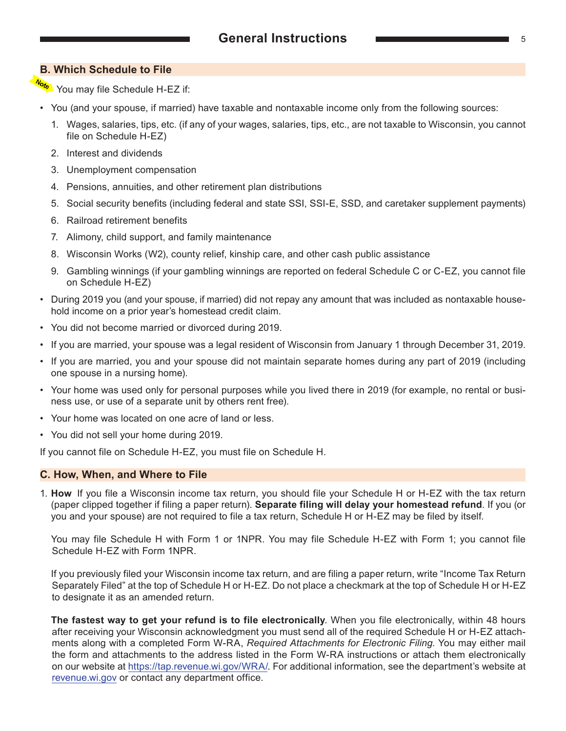#### <span id="page-4-0"></span>**B. Which Schedule to File**

- You may file Schedule H-EZ if:
- You (and your spouse, if married) have taxable and nontaxable income only from the following sources:
	- 1. Wages, salaries, tips, etc. (if any of your wages, salaries, tips, etc., are not taxable to Wisconsin, you cannot file on Schedule H-EZ)
	- 2. Interest and dividends
	- 3. Unemployment compensation
	- 4. Pensions, annuities, and other retirement plan distributions
	- 5. Social security benefits (including federal and state SSI, SSI-E, SSD, and caretaker supplement payments)
	- 6. Railroad retirement benefits
	- 7. Alimony, child support, and family maintenance
	- 8. Wisconsin Works (W2), county relief, kinship care, and other cash public assistance
	- 9. Gambling winnings (if your gambling winnings are reported on federal Schedule C or C-EZ, you cannot file on Schedule H-EZ)
- During 2019 you (and your spouse, if married) did not repay any amount that was included as nontaxable household income on a prior year's homestead credit claim.
- You did not become married or divorced during 2019.
- If you are married, your spouse was a legal resident of Wisconsin from January 1 through December 31, 2019.
- If you are married, you and your spouse did not maintain separate homes during any part of 2019 (including one spouse in a nursing home).
- Your home was used only for personal purposes while you lived there in 2019 (for example, no rental or business use, or use of a separate unit by others rent free).
- Your home was located on one acre of land or less.
- You did not sell your home during 2019.

If you cannot file on Schedule H-EZ, you must file on Schedule H.

#### **C. How, When, and Where to File**

1. **How** If you file a Wisconsin income tax return, you should file your Schedule H or H-EZ with the tax return (paper clipped together if filing a paper return). **Separate filing will delay your homestead refund**. If you (or you and your spouse) are not required to file a tax return, Schedule H or H-EZ may be filed by itself.

You may file Schedule H with Form 1 or 1NPR. You may file Schedule H-EZ with Form 1; you cannot file Schedule H-EZ with Form 1NPR.

 If you previously filed your Wisconsin income tax return, and are filing a paper return, write "Income Tax Return Separately Filed" at the top of Schedule H or H-EZ. Do not place a checkmark at the top of Schedule H or H-EZ to designate it as an amended return.

**The fastest way to get your refund is to file electronically**. When you file electronically, within 48 hours after receiving your Wisconsin acknowledgment you must send all of the required Schedule H or H-EZ attachments along with a completed Form W-RA, *Required Attachments for Electronic Filing*. You may either mail the form and attachments to the address listed in the Form W-RA instructions or attach them electronically on our website at [https://tap.revenue.wi.gov/WRA](https://tap.revenue.wi.gov/WRA/)/. For additional information, see the department's website at [revenue.wi.gov](https://www.revenue.wi.gov/) or contact any department office.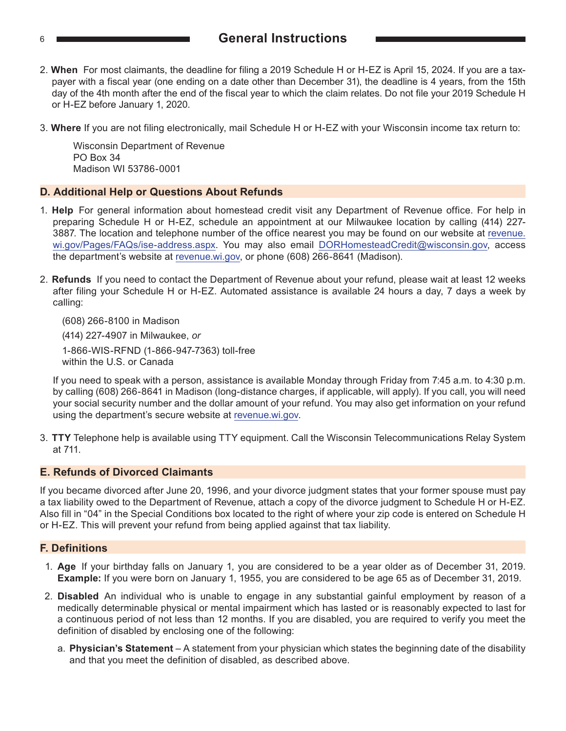#### <span id="page-5-0"></span><sup>6</sup> **General Instructions**

- 2. **When** For most claimants, the deadline for filing a 2019 Schedule H or H-EZ is April 15, 2024. If you are a taxpayer with a fiscal year (one ending on a date other than December 31), the deadline is 4 years, from the 15th day of the 4th month after the end of the fiscal year to which the claim relates. Do not file your 2019 Schedule H or H-EZ before January 1, 2020.
- 3. **Where** If you are not filing electronically, mail Schedule H or H-EZ with your Wisconsin income tax return to:

 Wisconsin Department of Revenue PO Box 34 Madison WI 53786-0001

#### **D. Additional Help or Questions About Refunds**

- 1. **Help** For general information about homestead credit visit any Department of Revenue office. For help in preparing Schedule H or H-EZ, schedule an appointment at our Milwaukee location by calling (414) 227- 3887. The location and telephone number of the office nearest you may be found on our website at [revenue.](https://www.revenue.wi.gov/Pages/FAQs/ise-address.aspx) [wi.gov/Pages/FAQs/ise-address.aspx](https://www.revenue.wi.gov/Pages/FAQs/ise-address.aspx). You may also email [DORHomesteadCredit@wisconsin.gov](https://www.revenue.wi.gov/Pages/ContactUs/dorhelp.aspx?subject=dorhomesteadcredit), access the department's website at [revenue.wi.gov,](https://www.revenue.wi.gov/) or phone (608) 266-8641 (Madison).
- 2. **Refunds** If you need to contact the Department of Revenue about your refund, please wait at least 12 weeks after filing your Schedule H or H-EZ. Automated assistance is available 24 hours a day, 7 days a week by calling:

(608) 266-8100 in Madison

 (414) 227-4907 in Milwaukee, *or* 1-866-WIS-RFND (1-866-947-7363) toll-free within the U.S. or Canada

 If you need to speak with a person, assistance is available Monday through Friday from 7:45 a.m. to 4:30 p.m. by calling (608) 266-8641 in Madison (long-distance charges, if applicable, will apply). If you call, you will need your social security number and the dollar amount of your refund. You may also get information on your refund using the department's secure website at [revenue.wi.gov.](https://www.revenue.wi.gov/)

3. **TTY** Telephone help is available using TTY equipment. Call the Wisconsin Telecommunications Relay System at 711.

#### **E. Refunds of Divorced Claimants**

If you became divorced after June 20, 1996, and your divorce judgment states that your former spouse must pay a tax liability owed to the Department of Revenue, attach a copy of the divorce judgment to Schedule H or H-EZ. Also fill in "04" in the Special Conditions box located to the right of where your zip code is entered on Schedule H or H-EZ. This will prevent your refund from being applied against that tax liability.

#### **F. Definitions**

- 1. **Age** If your birthday falls on January 1, you are considered to be a year older as of December 31, 2019. **Example:** If you were born on January 1, 1955, you are considered to be age 65 as of December 31, 2019.
- 2. **Disabled** An individual who is unable to engage in any substantial gainful employment by reason of a medically determinable physical or mental impairment which has lasted or is reasonably expected to last for a continuous period of not less than 12 months. If you are disabled, you are required to verify you meet the definition of disabled by enclosing one of the following:
	- a. **Physician's Statement** A statement from your physician which states the beginning date of the disability and that you meet the definition of disabled, as described above.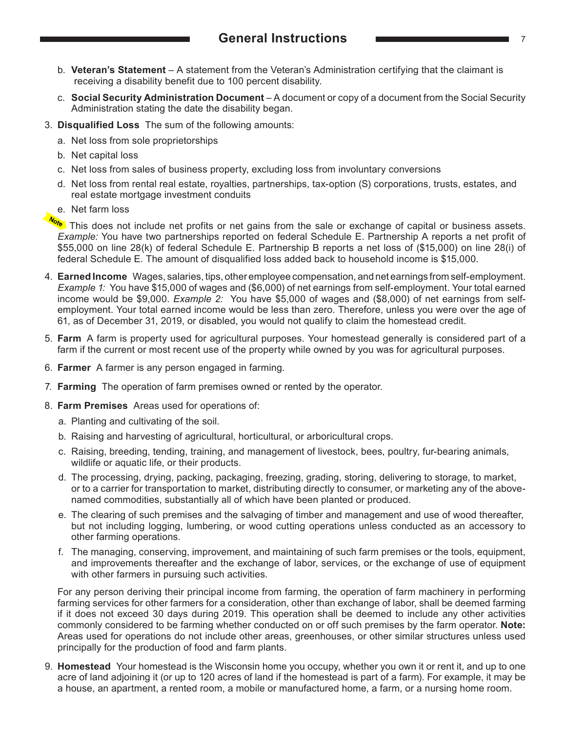- <span id="page-6-0"></span> b. **Veteran's Statement** – A statement from the Veteran's Administration certifying that the claimant is receiving a disability benefit due to 100 percent disability.
- c. **Social Security Administration Document** A document or copy of a document from the Social Security Administration stating the date the disability began.
- 3. **Disqualified Loss** The sum of the following amounts:
	- a. Net loss from sole proprietorships
	- b. Net capital loss
	- c. Net loss from sales of business property, excluding loss from involuntary conversions
	- d. Net loss from rental real estate, royalties, partnerships, tax-option (S) corporations, trusts, estates, and real estate mortgage investment conduits
	- e. Net farm loss

Notel This does not include net profits or net gains from the sale or exchange of capital or business assets. *Example:* You have two partnerships reported on federal Schedule E. Partnership A reports a net profit of \$55,000 on line 28(k) of federal Schedule E. Partnership B reports a net loss of (\$15,000) on line 28(i) of federal Schedule E. The amount of disqualified loss added back to household income is \$15,000.

- 4. **Earned Income** Wages, salaries, tips, other employee compensation, and net earnings from self-employment. *Example 1:* You have \$15,000 of wages and (\$6,000) of net earnings from self-employment. Your total earned income would be \$9,000. *Example 2:* You have \$5,000 of wages and (\$8,000) of net earnings from selfemployment. Your total earned income would be less than zero. Therefore, unless you were over the age of 61, as of December 31, 2019, or disabled, you would not qualify to claim the homestead credit.
- 5. **Farm** A farm is property used for agricultural purposes. Your homestead generally is considered part of a farm if the current or most recent use of the property while owned by you was for agricultural purposes.
- 6. **Farmer** A farmer is any person engaged in farming.
- 7. **Farming** The operation of farm premises owned or rented by the operator.
- 8. **Farm Premises** Areas used for operations of:
	- a. Planting and cultivating of the soil.
	- b. Raising and harvesting of agricultural, horticultural, or arboricultural crops.
	- c. Raising, breeding, tending, training, and management of livestock, bees, poultry, fur-bearing animals, wildlife or aquatic life, or their products.
	- d. The processing, drying, packing, packaging, freezing, grading, storing, delivering to storage, to market, or to a carrier for transportation to market, distributing directly to consumer, or marketing any of the abovenamed commodities, substantially all of which have been planted or produced.
	- e. The clearing of such premises and the salvaging of timber and management and use of wood thereafter, but not including logging, lumbering, or wood cutting operations unless conducted as an accessory to other farming operations.
	- f. The managing, conserving, improvement, and maintaining of such farm premises or the tools, equipment, and improvements thereafter and the exchange of labor, services, or the exchange of use of equipment with other farmers in pursuing such activities.

 For any person deriving their principal income from farming, the operation of farm machinery in performing farming services for other farmers for a consideration, other than exchange of labor, shall be deemed farming if it does not exceed 30 days during 2019. This operation shall be deemed to include any other activities commonly considered to be farming whether conducted on or off such premises by the farm operator. **Note:** Areas used for operations do not include other areas, greenhouses, or other similar structures unless used principally for the production of food and farm plants.

9. **Homestead** Your homestead is the Wisconsin home you occupy, whether you own it or rent it, and up to one acre of land adjoining it (or up to 120 acres of land if the homestead is part of a farm). For example, it may be a house, an apartment, a rented room, a mobile or manufactured home, a farm, or a nursing home room.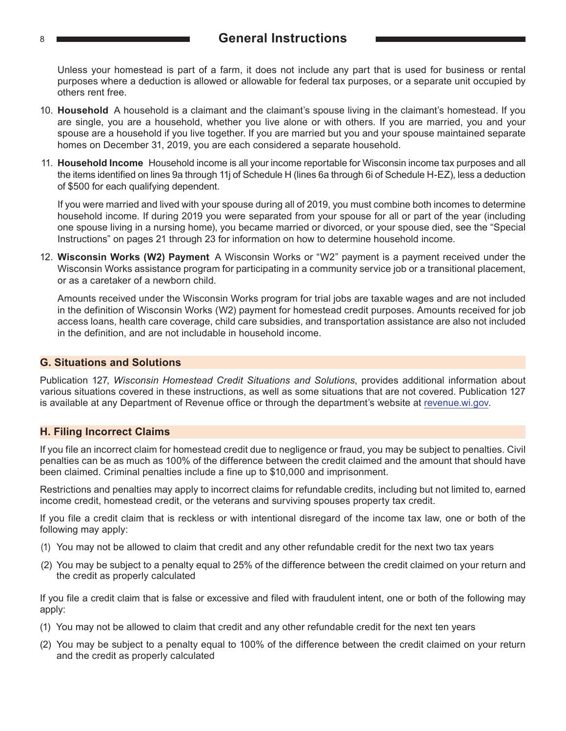#### <span id="page-7-0"></span><sup>8</sup> **General Instructions**

 Unless your homestead is part of a farm, it does not include any part that is used for business or rental purposes where a deduction is allowed or allowable for federal tax purposes, or a separate unit occupied by others rent free.

- 10. **Household** A household is a claimant and the claimant's spouse living in the claimant's homestead. If you are single, you are a household, whether you live alone or with others. If you are married, you and your spouse are a household if you live together. If you are married but you and your spouse maintained separate homes on December 31, 2019, you are each considered a separate household.
- 11. **Household Income** Household income is all your income reportable for Wisconsin income tax purposes and all the items identified on lines 9a through 11j of Schedule H (lines 6a through 6i of Schedule H-EZ), less a deduction of \$500 for each qualifying dependent.

 If you were married and lived with your spouse during all of 2019, you must combine both incomes to determine household income. If during 2019 you were separated from your spouse for all or part of the year (including one spouse living in a nursing home), you became married or divorced, or your spouse died, see the "Special Instructions" on pages 21 through 23 for information on how to determine household income.

12. **Wisconsin Works (W2) Payment** A Wisconsin Works or "W2" payment is a payment received under the Wisconsin Works assistance program for participating in a community service job or a transitional placement, or as a caretaker of a newborn child.

 Amounts received under the Wisconsin Works program for trial jobs are taxable wages and are not included in the definition of Wisconsin Works (W2) payment for homestead credit purposes. Amounts received for job access loans, health care coverage, child care subsidies, and transportation assistance are also not included in the definition, and are not includable in household income.

#### **G. Situations and Solutions**

Publication 127, *Wisconsin Homestead Credit Situations and Solutions*, provides additional information about various situations covered in these instructions, as well as some situations that are not covered. Publication 127 is available at any Department of Revenue office or through the department's website at [revenue.wi.gov](https://www.revenue.wi.gov/).

#### **H. Filing Incorrect Claims**

If you file an incorrect claim for homestead credit due to negligence or fraud, you may be subject to penalties. Civil penalties can be as much as 100% of the difference between the credit claimed and the amount that should have been claimed. Criminal penalties include a fine up to \$10,000 and imprisonment.

Restrictions and penalties may apply to incorrect claims for refundable credits, including but not limited to, earned income credit, homestead credit, or the veterans and surviving spouses property tax credit.

If you file a credit claim that is reckless or with intentional disregard of the income tax law, one or both of the following may apply:

- (1) You may not be allowed to claim that credit and any other refundable credit for the next two tax years
- (2) You may be subject to a penalty equal to 25% of the difference between the credit claimed on your return and the credit as properly calculated

If you file a credit claim that is false or excessive and filed with fraudulent intent, one or both of the following may apply:

- (1) You may not be allowed to claim that credit and any other refundable credit for the next ten years
- (2) You may be subject to a penalty equal to 100% of the difference between the credit claimed on your return and the credit as properly calculated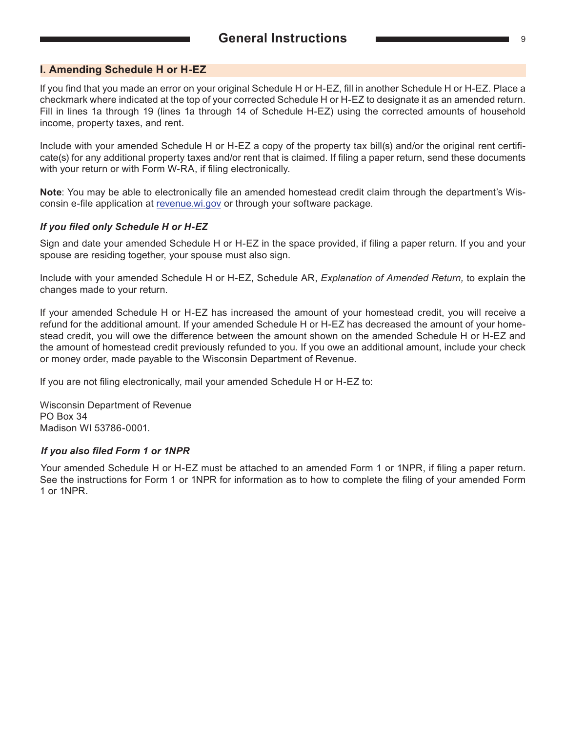#### <span id="page-8-0"></span>**I. Amending Schedule H or H‑EZ**

If you find that you made an error on your original Schedule H or H-EZ, fill in another Schedule H or H-EZ. Place a checkmark where indicated at the top of your corrected Schedule H or H-EZ to designate it as an amended return. Fill in lines 1a through 19 (lines 1a through 14 of Schedule H-EZ) using the corrected amounts of household income, property taxes, and rent.

Include with your amended Schedule H or H-EZ a copy of the property tax bill(s) and/or the original rent certificate(s) for any additional property taxes and/or rent that is claimed. If filing a paper return, send these documents with your return or with Form W-RA, if filing electronically.

**Note**: You may be able to electronically file an amended homestead credit claim through the department's Wisconsin e-file application at [revenue.wi.gov](https://www.revenue.wi.gov/) or through your software package.

#### *If you filed only Schedule H or H-EZ*

Sign and date your amended Schedule H or H-EZ in the space provided, if filing a paper return. If you and your spouse are residing together, your spouse must also sign.

Include with your amended Schedule H or H-EZ, Schedule AR, *Explanation of Amended Return,* to explain the changes made to your return.

If your amended Schedule H or H-EZ has increased the amount of your homestead credit, you will receive a refund for the additional amount. If your amended Schedule H or H-EZ has decreased the amount of your homestead credit, you will owe the difference between the amount shown on the amended Schedule H or H-EZ and the amount of homestead credit previously refunded to you. If you owe an additional amount, include your check or money order, made payable to the Wisconsin Department of Revenue.

If you are not filing electronically, mail your amended Schedule H or H-EZ to:

Wisconsin Department of Revenue PO Box 34 Madison WI 53786-0001.

#### *If you also filed Form 1 or 1NPR*

Your amended Schedule H or H-EZ must be attached to an amended Form 1 or 1NPR, if filing a paper return. See the instructions for Form 1 or 1NPR for information as to how to complete the filing of your amended Form 1 or 1NPR.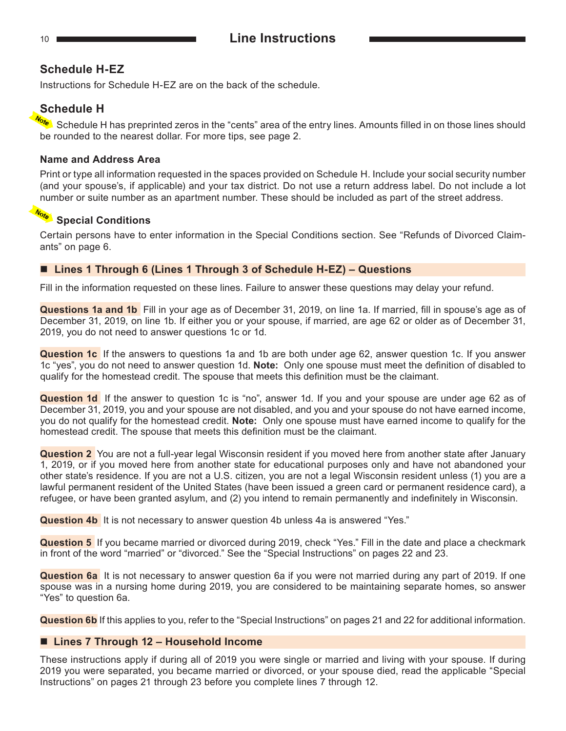#### **Schedule H-EZ**

Instructions for Schedule H-EZ are on the back of the schedule.

#### **Schedule H**

 Schedule H has preprinted zeros in the "cents" area of the entry lines. Amounts filled in on those lines should be rounded to the nearest dollar. For more tips, see page 2.

#### **Name and Address Area**

Print or type all information requested in the spaces provided on Schedule H. Include your social security number (and your spouse's, if applicable) and your tax district. Do not use a return address label. Do not include a lot number or suite number as an apartment number. These should be included as part of the street address.

#### **Special Conditions**

Certain persons have to enter information in the Special Conditions section. See "Refunds of Divorced Claimants" on page 6.

#### ■ Lines 1 Through 6 (Lines 1 Through 3 of Schedule H-EZ) – Questions

Fill in the information requested on these lines. Failure to answer these questions may delay your refund.

**Questions 1a and 1b** Fill in your age as of December 31, 2019, on line 1a. If married, fill in spouse's age as of December 31, 2019, on line 1b. If either you or your spouse, if married, are age 62 or older as of December 31, 2019, you do not need to answer questions 1c or 1d.

**Question 1c** If the answers to questions 1a and 1b are both under age 62, answer question 1c. If you answer 1c "yes", you do not need to answer question 1d. **Note:** Only one spouse must meet the definition of disabled to qualify for the homestead credit. The spouse that meets this definition must be the claimant.

**Question 1d** If the answer to question 1c is "no", answer 1d. If you and your spouse are under age 62 as of December 31, 2019, you and your spouse are not disabled, and you and your spouse do not have earned income, you do not qualify for the homestead credit. **Note:** Only one spouse must have earned income to qualify for the homestead credit. The spouse that meets this definition must be the claimant.

**Question 2** You are not a full-year legal Wisconsin resident if you moved here from another state after January 1, 2019, or if you moved here from another state for educational purposes only and have not abandoned your other state's residence. If you are not a U.S. citizen, you are not a legal Wisconsin resident unless (1) you are a lawful permanent resident of the United States (have been issued a green card or permanent residence card), a refugee, or have been granted asylum, and (2) you intend to remain permanently and indefinitely in Wisconsin.

**Question 4b** It is not necessary to answer question 4b unless 4a is answered "Yes."

**Question 5** If you became married or divorced during 2019, check "Yes." Fill in the date and place a checkmark in front of the word "married" or "divorced." See the "Special Instructions" on pages 22 and 23.

**Question 6a** It is not necessary to answer question 6a if you were not married during any part of 2019. If one spouse was in a nursing home during 2019, you are considered to be maintaining separate homes, so answer "Yes" to question 6a.

**Question 6b** If this applies to you, refer to the "Special Instructions" on pages 21 and 22 for additional information.

#### ■ Lines 7 Through 12 – Household Income

These instructions apply if during all of 2019 you were single or married and living with your spouse. If during 2019 you were separated, you became married or divorced, or your spouse died, read the applicable "Special Instructions" on pages 21 through 23 before you complete lines 7 through 12.

<span id="page-9-0"></span>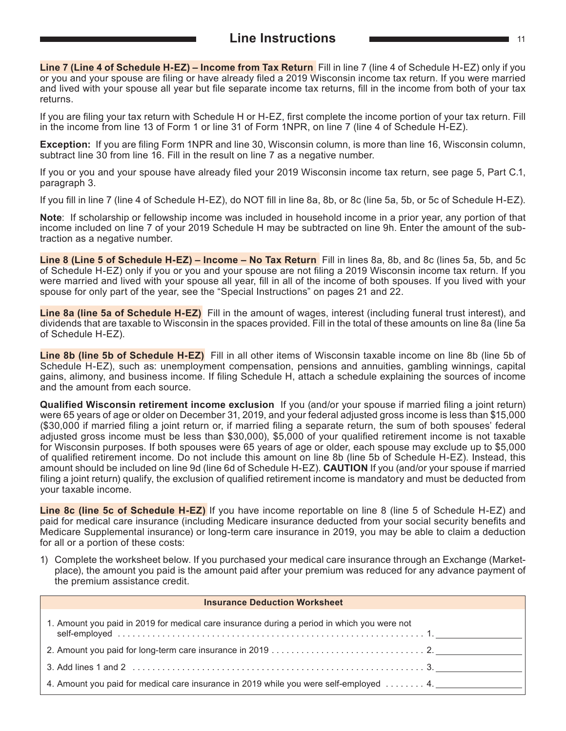<span id="page-10-0"></span>**Line 7 (Line 4 of Schedule H‑EZ) – Income from Tax Return** Fill in line 7 (line 4 of Schedule H-EZ) only if you or you and your spouse are filing or have already filed a 2019 Wisconsin income tax return. If you were married and lived with your spouse all year but file separate income tax returns, fill in the income from both of your tax returns.

If you are filing your tax return with Schedule H or H-EZ, first complete the income portion of your tax return. Fill in the income from line 13 of Form 1 or line 31 of Form 1NPR, on line 7 (line 4 of Schedule H-EZ).

**Exception:** If you are filing Form 1NPR and line 30, Wisconsin column, is more than line 16, Wisconsin column, subtract line 30 from line 16. Fill in the result on line 7 as a negative number.

If you or you and your spouse have already filed your 2019 Wisconsin income tax return, see page 5, Part C.1, paragraph 3.

If you fill in line 7 (line 4 of Schedule H-EZ), do NOT fill in line 8a, 8b, or 8c (line 5a, 5b, or 5c of Schedule H-EZ).

**Note**: If scholarship or fellowship income was included in household income in a prior year, any portion of that income included on line 7 of your 2019 Schedule H may be subtracted on line 9h. Enter the amount of the subtraction as a negative number.

**Line 8 (Line 5 of Schedule H‑EZ) – Income – No Tax Return** Fill in lines 8a, 8b, and 8c (lines 5a, 5b, and 5c of Schedule H-EZ) only if you or you and your spouse are not filing a 2019 Wisconsin income tax return. If you were married and lived with your spouse all year, fill in all of the income of both spouses. If you lived with your spouse for only part of the year, see the "Special Instructions" on pages 21 and 22.

**Line 8a (line 5a of Schedule H‑EZ)** Fill in the amount of wages, interest (including funeral trust interest), and dividends that are taxable to Wisconsin in the spaces provided. Fill in the total of these amounts on line 8a (line 5a of Schedule H-EZ).

**Line 8b (line 5b of Schedule H‑EZ)** Fill in all other items of Wisconsin taxable income on line 8b (line 5b of Schedule H-EZ), such as: unemployment compensation, pensions and annuities, gambling winnings, capital gains, alimony, and business income. If filing Schedule H, attach a schedule explaining the sources of income and the amount from each source.

**Qualified Wisconsin retirement income exclusion** If you (and/or your spouse if married filing a joint return) were 65 years of age or older on December 31, 2019, and your federal adjusted gross income is less than \$15,000 (\$30,000 if married filing a joint return or, if married filing a separate return, the sum of both spouses' federal adjusted gross income must be less than \$30,000), \$5,000 of your qualified retirement income is not taxable for Wisconsin purposes. If both spouses were 65 years of age or older, each spouse may exclude up to \$5,000 of qualified retirement income. Do not include this amount on line 8b (line 5b of Schedule H-EZ). Instead, this amount should be included on line 9d (line 6d of Schedule H-EZ). **CAUTION** If you (and/or your spouse if married filing a joint return) qualify, the exclusion of qualified retirement income is mandatory and must be deducted from your taxable income.

**Line 8c (line 5c of Schedule H-EZ)** If you have income reportable on line 8 (line 5 of Schedule H-EZ) and paid for medical care insurance (including Medicare insurance deducted from your social security benefits and Medicare Supplemental insurance) or long-term care insurance in 2019, you may be able to claim a deduction for all or a portion of these costs:

1) Complete the worksheet below. If you purchased your medical care insurance through an Exchange (Marketplace), the amount you paid is the amount paid after your premium was reduced for any advance payment of the premium assistance credit.

| <b>Insurance Deduction Worksheet</b>                                                        |
|---------------------------------------------------------------------------------------------|
| 1. Amount you paid in 2019 for medical care insurance during a period in which you were not |
|                                                                                             |
|                                                                                             |
| 4. Amount you paid for medical care insurance in 2019 while you were self-employed 4.       |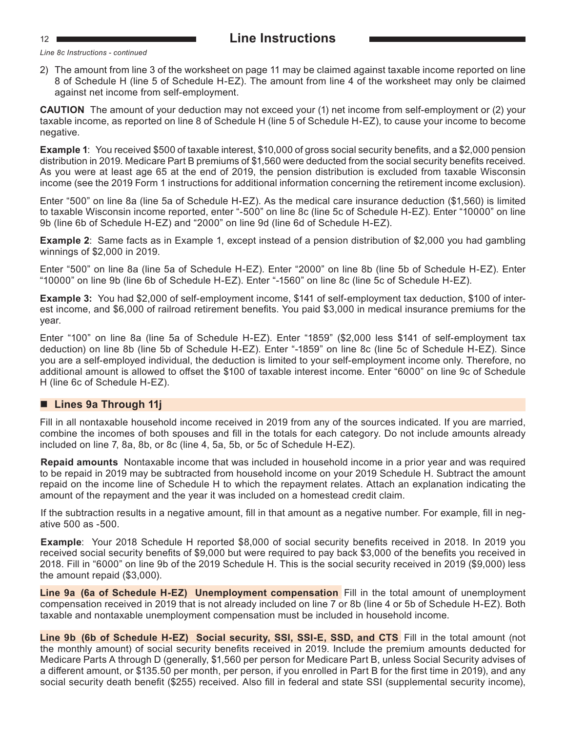*Line 8c Instructions - continued*

2) The amount from line 3 of the worksheet on page 11 may be claimed against taxable income reported on line 8 of Schedule H (line 5 of Schedule H-EZ). The amount from line 4 of the worksheet may only be claimed against net income from self-employment.

**CAUTION** The amount of your deduction may not exceed your (1) net income from self-employment or (2) your taxable income, as reported on line 8 of Schedule H (line 5 of Schedule H-EZ), to cause your income to become negative.

**Example 1**:You received \$500 of taxable interest, \$10,000 of gross social security benefits, and a \$2,000 pension distribution in 2019. Medicare Part B premiums of \$1,560 were deducted from the social security benefits received. As you were at least age 65 at the end of 2019, the pension distribution is excluded from taxable Wisconsin income (see the 2019 Form 1 instructions for additional information concerning the retirement income exclusion).

Enter "500" on line 8a (line 5a of Schedule H-EZ). As the medical care insurance deduction (\$1,560) is limited to taxable Wisconsin income reported, enter "-500" on line 8c (line 5c of Schedule H-EZ). Enter "10000" on line 9b (line 6b of Schedule H-EZ) and "2000" on line 9d (line 6d of Schedule H-EZ).

**Example 2**:Same facts as in Example 1, except instead of a pension distribution of \$2,000 you had gambling winnings of \$2,000 in 2019.

Enter "500" on line 8a (line 5a of Schedule H-EZ). Enter "2000" on line 8b (line 5b of Schedule H-EZ). Enter "10000" on line 9b (line 6b of Schedule H-EZ). Enter "-1560" on line 8c (line 5c of Schedule H-EZ).

**Example 3:** You had \$2,000 of self-employment income, \$141 of self-employment tax deduction, \$100 of interest income, and \$6,000 of railroad retirement benefits. You paid \$3,000 in medical insurance premiums for the year.

Enter "100" on line 8a (line 5a of Schedule H-EZ). Enter "1859" (\$2,000 less \$141 of self-employment tax deduction) on line 8b (line 5b of Schedule H-EZ). Enter "-1859" on line 8c (line 5c of Schedule H-EZ). Since you are a self-employed individual, the deduction is limited to your self-employment income only. Therefore, no additional amount is allowed to offset the \$100 of taxable interest income. Enter "6000" on line 9c of Schedule H (line 6c of Schedule H-EZ).

#### ■ Lines 9a Through 11j

Fill in all nontaxable household income received in 2019 from any of the sources indicated. If you are married, combine the incomes of both spouses and fill in the totals for each category. Do not include amounts already included on line 7, 8a, 8b, or 8c (line 4, 5a, 5b, or 5c of Schedule H-EZ).

**Repaid amounts** Nontaxable income that was included in household income in a prior year and was required to be repaid in 2019 may be subtracted from household income on your 2019 Schedule H. Subtract the amount repaid on the income line of Schedule H to which the repayment relates. Attach an explanation indicating the amount of the repayment and the year it was included on a homestead credit claim.

If the subtraction results in a negative amount, fill in that amount as a negative number. For example, fill in negative 500 as -500.

**Example**: Your 2018 Schedule H reported \$8,000 of social security benefits received in 2018. In 2019 you received social security benefits of \$9,000 but were required to pay back \$3,000 of the benefits you received in 2018. Fill in "6000" on line 9b of the 2019 Schedule H. This is the social security received in 2019 (\$9,000) less the amount repaid (\$3,000).

**Line 9a (6a of Schedule H‑EZ) Unemployment compensation** Fill in the total amount of unemployment compensation received in 2019 that is not already included on line 7 or 8b (line 4 or 5b of Schedule H-EZ). Both taxable and nontaxable unemployment compensation must be included in household income.

Line 9b (6b of Schedule H-EZ) Social security, SSI, SSI-E, SSD, and CTS Fill in the total amount (not the monthly amount) of social security benefits received in 2019. Include the premium amounts deducted for Medicare Parts A through D (generally, \$1,560 per person for Medicare Part B, unless Social Security advises of a different amount, or \$135.50 per month, per person, if you enrolled in Part B for the first time in 2019), and any social security death benefit (\$255) received. Also fill in federal and state SSI (supplemental security income),

<span id="page-11-0"></span>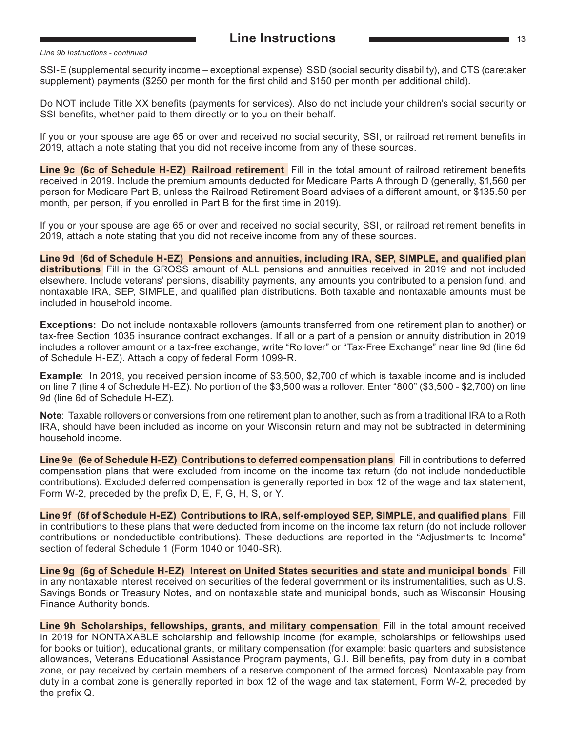#### <span id="page-12-0"></span>*Line 9b Instructions - continued*

SSI-E (supplemental security income – exceptional expense), SSD (social security disability), and CTS (caretaker supplement) payments (\$250 per month for the first child and \$150 per month per additional child).

 Do NOT include Title XX benefits (payments for services). Also do not include your children's social security or SSI benefits, whether paid to them directly or to you on their behalf.

If you or your spouse are age 65 or over and received no social security, SSI, or railroad retirement benefits in 2019, attach a note stating that you did not receive income from any of these sources.

**Line 9c (6c of Schedule H‑EZ) Railroad retirement** Fill in the total amount of railroad retirement benefits received in 2019. Include the premium amounts deducted for Medicare Parts A through D (generally, \$1,560 per person for Medicare Part B, unless the Railroad Retirement Board advises of a different amount, or \$135.50 per month, per person, if you enrolled in Part B for the first time in 2019).

If you or your spouse are age 65 or over and received no social security, SSI, or railroad retirement benefits in 2019, attach a note stating that you did not receive income from any of these sources.

**Line 9d (6d of Schedule H‑EZ) Pensions and annuities, including IRA, SEP, SIMPLE, and qualified plan distributions** Fill in the GROSS amount of ALL pensions and annuities received in 2019 and not included elsewhere. Include veterans' pensions, disability payments, any amounts you contributed to a pension fund, and nontaxable IRA, SEP, SIMPLE, and qualified plan distributions. Both taxable and nontaxable amounts must be included in household income.

**Exceptions:** Do not include nontaxable rollovers (amounts transferred from one retirement plan to another) or tax-free Section 1035 insurance contract exchanges. If all or a part of a pension or annuity distribution in 2019 includes a rollover amount or a tax-free exchange, write "Rollover" or "Tax-Free Exchange" near line 9d (line 6d of Schedule H-EZ). Attach a copy of federal Form 1099-R.

**Example**: In 2019, you received pension income of \$3,500, \$2,700 of which is taxable income and is included on line 7 (line 4 of Schedule H-EZ). No portion of the \$3,500 was a rollover. Enter "800" (\$3,500 - \$2,700) on line 9d (line 6d of Schedule H-EZ).

**Note**: Taxable rollovers or conversions from one retirement plan to another, such as from a traditional IRA to a Roth IRA, should have been included as income on your Wisconsin return and may not be subtracted in determining household income.

**Line 9e (6e of Schedule H‑EZ) Contributions to deferred compensation plans** Fill in contributions to deferred compensation plans that were excluded from income on the income tax return (do not include nondeductible contributions). Excluded deferred compensation is generally reported in box 12 of the wage and tax statement, Form W-2, preceded by the prefix D, E, F, G, H, S, or Y.

**Line 9f (6f of Schedule H‑EZ) Contributions to IRA, self-employed SEP, SIMPLE, and qualified plans** Fill in contributions to these plans that were deducted from income on the income tax return (do not include rollover contributions or nondeductible contributions). These deductions are reported in the "Adjustments to Income" section of federal Schedule 1 (Form 1040 or 1040-SR).

**Line 9g (6g of Schedule H‑EZ) Interest on United States securities and state and municipal bonds** Fill in any nontaxable interest received on securities of the federal government or its instrumentalities, such as U.S. Savings Bonds or Treasury Notes, and on nontaxable state and municipal bonds, such as Wisconsin Housing Finance Authority bonds.

**Line 9h Scholarships, fellowships, grants, and military compensation** Fill in the total amount received in 2019 for NONTAXABLE scholarship and fellowship income (for example, scholarships or fellowships used for books or tuition), educational grants, or military compensation (for example: basic quarters and subsistence allowances, Veterans Educational Assistance Program payments, G.I. Bill benefits, pay from duty in a combat zone, or pay received by certain members of a reserve component of the armed forces). Nontaxable pay from duty in a combat zone is generally reported in box 12 of the wage and tax statement, Form W-2, preceded by the prefix Q.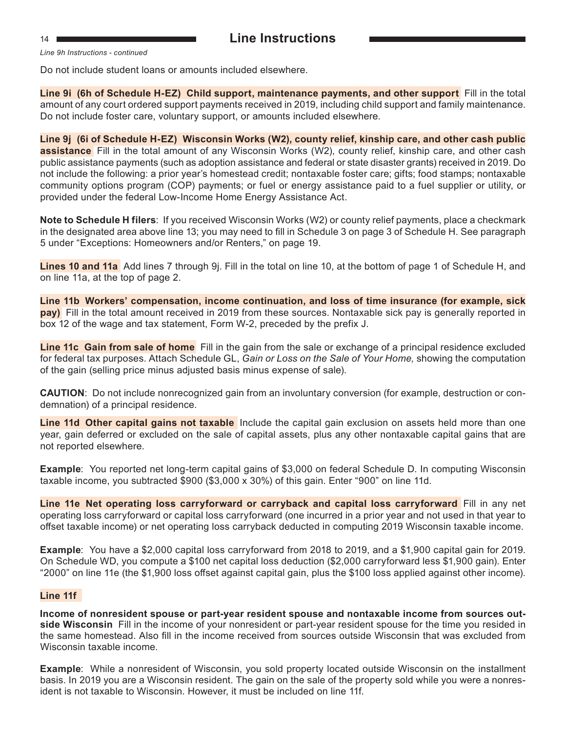<span id="page-13-0"></span>

*Line 9h Instructions - continued*

Do not include student loans or amounts included elsewhere.

**Line 9i (6h of Schedule H‑EZ) Child support, maintenance payments, and other support** Fill in the total amount of any court ordered support payments received in 2019, including child support and family maintenance. Do not include foster care, voluntary support, or amounts included elsewhere.

**Line 9j (6i of Schedule H‑EZ) Wisconsin Works (W2), county relief, kinship care, and other cash public assistance** Fill in the total amount of any Wisconsin Works (W2), county relief, kinship care, and other cash public assistance payments (such as adoption assistance and federal or state disaster grants) received in 2019. Do not include the following: a prior year's homestead credit; nontaxable foster care; gifts; food stamps; nontaxable community options program (COP) payments; or fuel or energy assistance paid to a fuel supplier or utility, or provided under the federal Low-Income Home Energy Assistance Act.

**Note to Schedule H filers**: If you received Wisconsin Works (W2) or county relief payments, place a checkmark in the designated area above line 13; you may need to fill in Schedule 3 on page 3 of Schedule H. See paragraph 5 under "Exceptions: Homeowners and/or Renters," on page 19.

**Lines 10 and 11a** Add lines 7 through 9j. Fill in the total on line 10, at the bottom of page 1 of Schedule H, and on line 11a, at the top of page 2.

**Line 11b Workers' compensation, income continuation, and loss of time insurance (for example, sick pay)** Fill in the total amount received in 2019 from these sources. Nontaxable sick pay is generally reported in box 12 of the wage and tax statement, Form W-2, preceded by the prefix J.

**Line 11c Gain from sale of home** Fill in the gain from the sale or exchange of a principal residence excluded for federal tax purposes. Attach Schedule GL, *Gain or Loss on the Sale of Your Home,* showing the computation of the gain (selling price minus adjusted basis minus expense of sale).

**CAUTION**: Do not include nonrecognized gain from an involuntary conversion (for example, destruction or condemnation) of a principal residence.

**Line 11d Other capital gains not taxable** Include the capital gain exclusion on assets held more than one year, gain deferred or excluded on the sale of capital assets, plus any other nontaxable capital gains that are not reported elsewhere.

**Example**: You reported net long-term capital gains of \$3,000 on federal Schedule D. In computing Wisconsin taxable income, you subtracted \$900 (\$3,000 x 30%) of this gain. Enter "900" on line 11d.

**Line 11e Net operating loss carryforward or carryback and capital loss carryforward** Fill in any net operating loss carryforward or capital loss carryforward (one incurred in a prior year and not used in that year to offset taxable income) or net operating loss carryback deducted in computing 2019 Wisconsin taxable income.

**Example**: You have a \$2,000 capital loss carryforward from 2018 to 2019, and a \$1,900 capital gain for 2019. On Schedule WD, you compute a \$100 net capital loss deduction (\$2,000 carryforward less \$1,900 gain). Enter "2000" on line 11e (the \$1,900 loss offset against capital gain, plus the \$100 loss applied against other income).

#### **Line 11f**

**Income of nonresident spouse or part-year resident spouse and nontaxable income from sources out‑ side Wisconsin** Fill in the income of your nonresident or part-year resident spouse for the time you resided in the same homestead. Also fill in the income received from sources outside Wisconsin that was excluded from Wisconsin taxable income.

**Example**: While a nonresident of Wisconsin, you sold property located outside Wisconsin on the installment basis. In 2019 you are a Wisconsin resident. The gain on the sale of the property sold while you were a nonresident is not taxable to Wisconsin. However, it must be included on line 11f.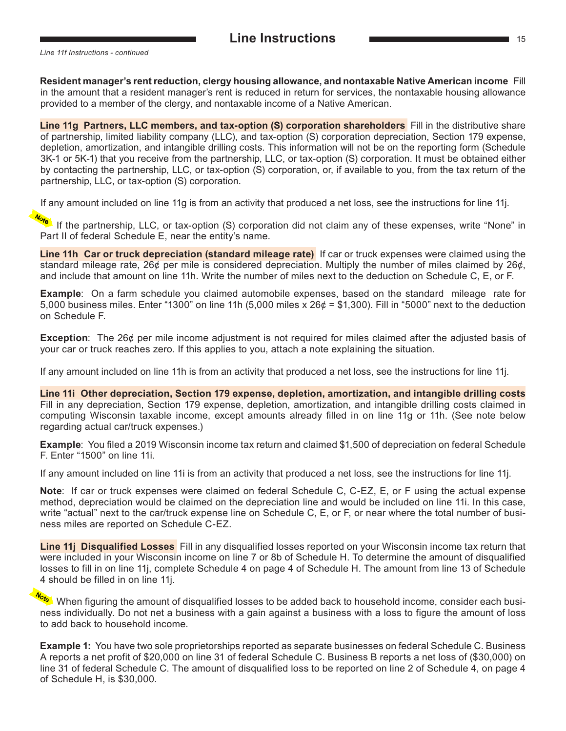<span id="page-14-0"></span>*Line 11f Instructions - continued*

**Resident manager's rent reduction, clergy housing allowance, and nontaxable Native American income** Fill in the amount that a resident manager's rent is reduced in return for services, the nontaxable housing allowance provided to a member of the clergy, and nontaxable income of a Native American.

**Line 11g Partners, LLC members, and tax-option (S) corporation shareholders** Fill in the distributive share of partnership, limited liability company (LLC), and tax-option (S) corporation depreciation, Section 179 expense, depletion, amortization, and intangible drilling costs. This information will not be on the reporting form (Schedule 3K-1 or 5K-1) that you receive from the partnership, LLC, or tax-option (S) corporation. It must be obtained either by contacting the partnership, LLC, or tax-option (S) corporation, or, if available to you, from the tax return of the partnership, LLC, or tax-option (S) corporation.

If any amount included on line 11g is from an activity that produced a net loss, see the instructions for line 11j.

 If the partnership, LLC, or tax-option (S) corporation did not claim any of these expenses, write "None" in Part II of federal Schedule E, near the entity's name.

**Line 11h Car or truck depreciation (standard mileage rate)** If car or truck expenses were claimed using the standard mileage rate, 26¢ per mile is considered depreciation. Multiply the number of miles claimed by 26¢, and include that amount on line 11h. Write the number of miles next to the deduction on Schedule C, E, or F.

**Example**: On a farm schedule you claimed automobile expenses, based on the standard mileage rate for 5,000 business miles. Enter "1300" on line 11h (5,000 miles x 26¢ = \$1,300). Fill in "5000" next to the deduction on Schedule F.

**Exception**: The 26¢ per mile income adjustment is not required for miles claimed after the adjusted basis of your car or truck reaches zero. If this applies to you, attach a note explaining the situation.

If any amount included on line 11h is from an activity that produced a net loss, see the instructions for line 11j.

**Line 11i Other depreciation, Section 179 expense, depletion, amortization, and intangible drilling costs** Fill in any depreciation, Section 179 expense, depletion, amortization, and intangible drilling costs claimed in computing Wisconsin taxable income, except amounts already filled in on line 11g or 11h. (See note below regarding actual car/truck expenses.)

**Example**: You filed a 2019 Wisconsin income tax return and claimed \$1,500 of depreciation on federal Schedule F. Enter "1500" on line 11i.

If any amount included on line 11i is from an activity that produced a net loss, see the instructions for line 11j.

**Note**: If car or truck expenses were claimed on federal Schedule C, C-EZ, E, or F using the actual expense method, depreciation would be claimed on the depreciation line and would be included on line 11i. In this case, write "actual" next to the car/truck expense line on Schedule C, E, or F, or near where the total number of business miles are reported on Schedule C-EZ.

**Line 11j Disqualified Losses** Fill in any disqualified losses reported on your Wisconsin income tax return that were included in your Wisconsin income on line 7 or 8b of Schedule H. To determine the amount of disqualified losses to fill in on line 11j, complete Schedule 4 on page 4 of Schedule H. The amount from line 13 of Schedule 4 should be filled in on line 11j.

When figuring the amount of disqualified losses to be added back to household income, consider each business individually. Do not net a business with a gain against a business with a loss to figure the amount of loss to add back to household income.

**Example 1:** You have two sole proprietorships reported as separate businesses on federal Schedule C. Business A reports a net profit of \$20,000 on line 31 of federal Schedule C. Business B reports a net loss of (\$30,000) on line 31 of federal Schedule C. The amount of disqualified loss to be reported on line 2 of Schedule 4, on page 4 of Schedule H, is \$30,000.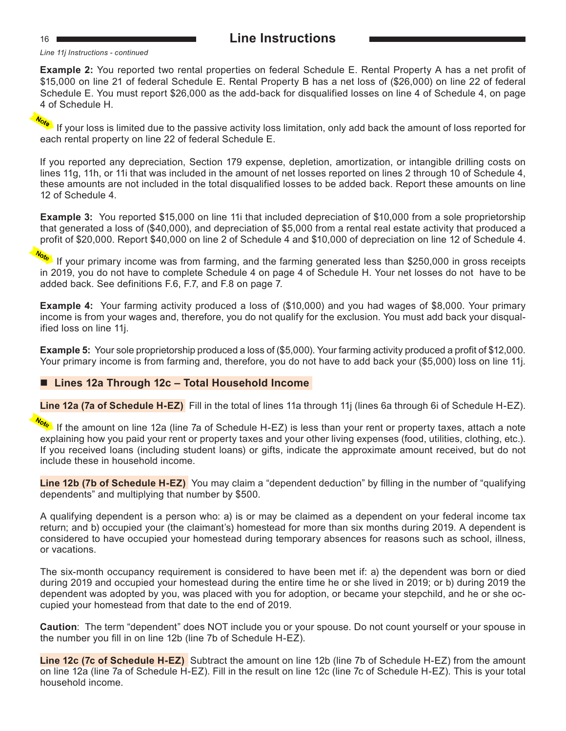#### <sup>16</sup> **Line Instructions**

*Line 11j Instructions - continued*

**Example 2:** You reported two rental properties on federal Schedule E. Rental Property A has a net profit of \$15,000 on line 21 of federal Schedule E. Rental Property B has a net loss of (\$26,000) on line 22 of federal Schedule E. You must report \$26,000 as the add-back for disqualified losses on line 4 of Schedule 4, on page 4 of Schedule H.

 If your loss is limited due to the passive activity loss limitation, only add back the amount of loss reported for each rental property on line 22 of federal Schedule E.

If you reported any depreciation, Section 179 expense, depletion, amortization, or intangible drilling costs on lines 11g, 11h, or 11i that was included in the amount of net losses reported on lines 2 through 10 of Schedule 4, these amounts are not included in the total disqualified losses to be added back. Report these amounts on line 12 of Schedule 4.

**Example 3:** You reported \$15,000 on line 11 that included depreciation of \$10,000 from a sole proprietorship that generated a loss of (\$40,000), and depreciation of \$5,000 from a rental real estate activity that produced a profit of \$20,000. Report \$40,000 on line 2 of Schedule 4 and \$10,000 of depreciation on line 12 of Schedule 4.

 If your primary income was from farming, and the farming generated less than \$250,000 in gross receipts in 2019, you do not have to complete Schedule 4 on page 4 of Schedule H. Your net losses do not have to be added back. See definitions F.6, F.7, and F.8 on page 7.

**Example 4:** Your farming activity produced a loss of (\$10,000) and you had wages of \$8,000. Your primary income is from your wages and, therefore, you do not qualify for the exclusion. You must add back your disqualified loss on line 11j.

**Example 5:** Your sole proprietorship produced a loss of (\$5,000). Your farming activity produced a profit of \$12,000. Your primary income is from farming and, therefore, you do not have to add back your (\$5,000) loss on line 11j.

#### ■ Lines 12a Through 12c – Total Household Income

**Line 12a (7a of Schedule H-EZ)** Fill in the total of lines 11a through 11j (lines 6a through 6i of Schedule H-EZ).

 If the amount on line 12a (line 7a of Schedule H-EZ) is less than your rent or property taxes, attach a note explaining how you paid your rent or property taxes and your other living expenses (food, utilities, clothing, etc.). If you received loans (including student loans) or gifts, indicate the approximate amount received, but do not include these in household income.

**Line 12b (7b of Schedule H‑EZ)** You may claim a "dependent deduction" by filling in the number of "qualifying dependents" and multiplying that number by \$500.

A qualifying dependent is a person who: a) is or may be claimed as a dependent on your federal income tax return; and b) occupied your (the claimant's) homestead for more than six months during 2019. A dependent is considered to have occupied your homestead during temporary absences for reasons such as school, illness, or vacations.

The six-month occupancy requirement is considered to have been met if: a) the dependent was born or died during 2019 and occupied your homestead during the entire time he or she lived in 2019; or b) during 2019 the dependent was adopted by you, was placed with you for adoption, or became your stepchild, and he or she occupied your homestead from that date to the end of 2019.

**Caution**: The term "dependent" does NOT include you or your spouse. Do not count yourself or your spouse in the number you fill in on line 12b (line 7b of Schedule H-EZ).

**Line 12c (7c of Schedule H-EZ)** Subtract the amount on line 12b (line 7b of Schedule H-EZ) from the amount on line 12a (line 7a of Schedule H-EZ). Fill in the result on line 12c (line 7c of Schedule H-EZ). This is your total household income.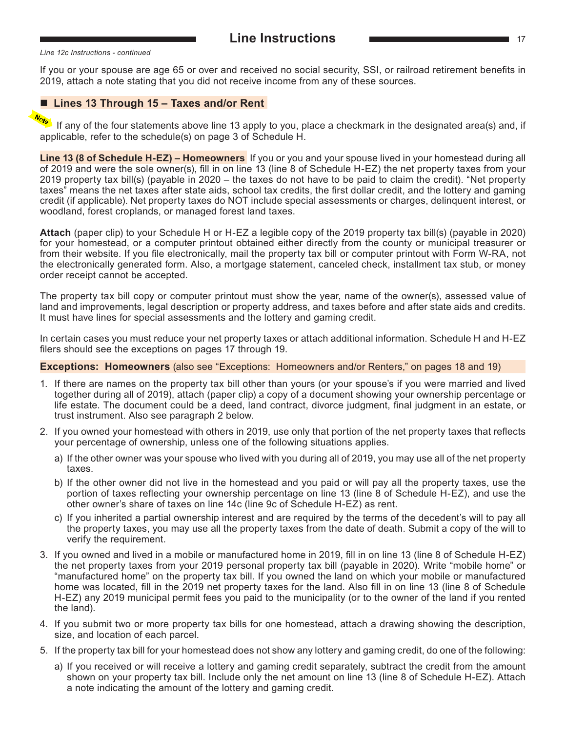<span id="page-16-0"></span>If you or your spouse are age 65 or over and received no social security, SSI, or railroad retirement benefits in 2019, attach a note stating that you did not receive income from any of these sources.

#### ■ Lines 13 Through 15 – Taxes and/or Rent

If any of the four statements above line 13 apply to you, place a checkmark in the designated area(s) and, if applicable, refer to the schedule(s) on page 3 of Schedule H.

**Line 13 (8 of Schedule H‑EZ) – Homeowners** If you or you and your spouse lived in your homestead during all of 2019 and were the sole owner(s), fill in on line 13 (line 8 of Schedule H-EZ) the net property taxes from your 2019 property tax bill(s) (payable in 2020 – the taxes do not have to be paid to claim the credit). "Net property taxes" means the net taxes after state aids, school tax credits, the first dollar credit, and the lottery and gaming credit (if applicable). Net property taxes do NOT include special assessments or charges, delinquent interest, or woodland, forest croplands, or managed forest land taxes.

**Attach** (paper clip) to your Schedule H or H-EZ a legible copy of the 2019 property tax bill(s) (payable in 2020) for your homestead, or a computer printout obtained either directly from the county or municipal treasurer or from their website. If you file electronically, mail the property tax bill or computer printout with Form W-RA, not the electronically generated form. Also, a mortgage statement, canceled check, installment tax stub, or money order receipt cannot be accepted.

The property tax bill copy or computer printout must show the year, name of the owner(s), assessed value of land and improvements, legal description or property address, and taxes before and after state aids and credits. It must have lines for special assessments and the lottery and gaming credit.

In certain cases you must reduce your net property taxes or attach additional information. Schedule H and H-EZ filers should see the exceptions on pages 17 through 19.

#### **Exceptions: Homeowners** (also see "Exceptions: Homeowners and/or Renters," on pages 18 and 19)

- 1. If there are names on the property tax bill other than yours (or your spouse's if you were married and lived together during all of 2019), attach (paper clip) a copy of a document showing your ownership percentage or life estate. The document could be a deed, land contract, divorce judgment, final judgment in an estate, or trust instrument. Also see paragraph 2 below.
- 2. If you owned your homestead with others in 2019, use only that portion of the net property taxes that reflects your percentage of ownership, unless one of the following situations applies.
	- a) If the other owner was your spouse who lived with you during all of 2019, you may use all of the net property taxes.
	- b) If the other owner did not live in the homestead and you paid or will pay all the property taxes, use the portion of taxes reflecting your ownership percentage on line 13 (line 8 of Schedule H-EZ), and use the other owner's share of taxes on line 14c (line 9c of Schedule H-EZ) as rent.
	- c) If you inherited a partial ownership interest and are required by the terms of the decedent's will to pay all the property taxes, you may use all the property taxes from the date of death. Submit a copy of the will to verify the requirement.
- 3. If you owned and lived in a mobile or manufactured home in 2019, fill in on line 13 (line 8 of Schedule H-EZ) the net property taxes from your 2019 personal property tax bill (payable in 2020). Write "mobile home" or "manufactured home" on the property tax bill. If you owned the land on which your mobile or manufactured home was located, fill in the 2019 net property taxes for the land. Also fill in on line 13 (line 8 of Schedule H-EZ) any 2019 municipal permit fees you paid to the municipality (or to the owner of the land if you rented the land).
- 4. If you submit two or more property tax bills for one homestead, attach a drawing showing the description, size, and location of each parcel.
- 5. If the property tax bill for your homestead does not show any lottery and gaming credit, do one of the following:
	- a) If you received or will receive a lottery and gaming credit separately, subtract the credit from the amount shown on your property tax bill. Include only the net amount on line 13 (line 8 of Schedule H-EZ). Attach a note indicating the amount of the lottery and gaming credit.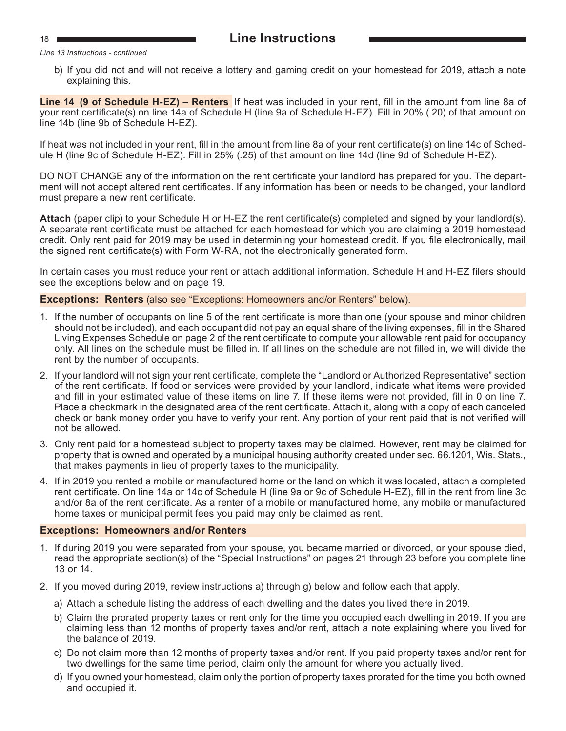#### <span id="page-17-0"></span><sup>18</sup> **Line Instructions**

*Line 13 Instructions - continued*

b) If you did not and will not receive a lottery and gaming credit on your homestead for 2019, attach a note explaining this.

**Line 14 (9 of Schedule H-EZ) – Renters** If heat was included in your rent, fill in the amount from line 8a of your rent certificate(s) on line 14a of Schedule H (line 9a of Schedule H-EZ). Fill in 20% (.20) of that amount on line 14b (line 9b of Schedule H-EZ).

If heat was not included in your rent, fill in the amount from line 8a of your rent certificate(s) on line 14c of Schedule H (line 9c of Schedule H-EZ). Fill in 25% (.25) of that amount on line 14d (line 9d of Schedule H-EZ).

DO NOT CHANGE any of the information on the rent certificate your landlord has prepared for you. The department will not accept altered rent certificates. If any information has been or needs to be changed, your landlord must prepare a new rent certificate.

**Attach** (paper clip) to your Schedule H or H-EZ the rent certificate(s) completed and signed by your landlord(s). A separate rent certificate must be attached for each homestead for which you are claiming a 2019 homestead credit. Only rent paid for 2019 may be used in determining your homestead credit. If you file electronically, mail the signed rent certificate(s) with Form W-RA, not the electronically generated form.

In certain cases you must reduce your rent or attach additional information. Schedule H and H-EZ filers should see the exceptions below and on page 19.

#### **Exceptions: Renters** (also see "Exceptions: Homeowners and/or Renters" below).

- 1. If the number of occupants on line 5 of the rent certificate is more than one (your spouse and minor children should not be included), and each occupant did not pay an equal share of the living expenses, fill in the Shared Living Expenses Schedule on page 2 of the rent certificate to compute your allowable rent paid for occupancy only. All lines on the schedule must be filled in. If all lines on the schedule are not filled in, we will divide the rent by the number of occupants.
- 2. If your landlord will not sign your rent certificate, complete the "Landlord or Authorized Representative" section of the rent certificate. If food or services were provided by your landlord, indicate what items were provided and fill in your estimated value of these items on line 7. If these items were not provided, fill in 0 on line 7. Place a checkmark in the designated area of the rent certificate. Attach it, along with a copy of each canceled check or bank money order you have to verify your rent. Any portion of your rent paid that is not verified will not be allowed.
- 3. Only rent paid for a homestead subject to property taxes may be claimed. However, rent may be claimed for property that is owned and operated by a municipal housing authority created under sec. 66.1201, Wis. Stats., that makes payments in lieu of property taxes to the municipality.
- 4. If in 2019 you rented a mobile or manufactured home or the land on which it was located, attach a completed rent certificate. On line 14a or 14c of Schedule H (line 9a or 9c of Schedule H-EZ), fill in the rent from line 3c and/or 8a of the rent certificate. As a renter of a mobile or manufactured home, any mobile or manufactured home taxes or municipal permit fees you paid may only be claimed as rent.

#### **Exceptions: Homeowners and/or Renters**

- 1. If during 2019 you were separated from your spouse, you became married or divorced, or your spouse died, read the appropriate section(s) of the "Special Instructions" on pages 21 through 23 before you complete line 13 or 14.
- 2. If you moved during 2019, review instructions a) through g) below and follow each that apply.
	- a) Attach a schedule listing the address of each dwelling and the dates you lived there in 2019.
	- b) Claim the prorated property taxes or rent only for the time you occupied each dwelling in 2019. If you are claiming less than 12 months of property taxes and/or rent, attach a note explaining where you lived for the balance of 2019.
	- c) Do not claim more than 12 months of property taxes and/or rent. If you paid property taxes and/or rent for two dwellings for the same time period, claim only the amount for where you actually lived.
	- d) If you owned your homestead, claim only the portion of property taxes prorated for the time you both owned and occupied it.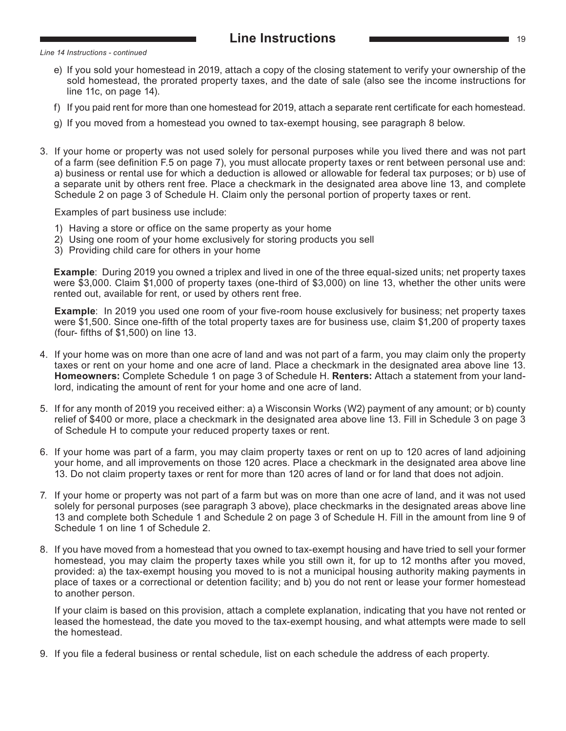#### **Line Instructions Line Instructions 19**

<span id="page-18-0"></span>*Line 14 Instructions - continued*

- e) If you sold your homestead in 2019, attach a copy of the closing statement to verify your ownership of the sold homestead, the prorated property taxes, and the date of sale (also see the income instructions for line 11c, on page 14).
- f) If you paid rent for more than one homestead for 2019, attach a separate rent certificate for each homestead.
- g) If you moved from a homestead you owned to tax-exempt housing, see paragraph 8 below.
- 3. If your home or property was not used solely for personal purposes while you lived there and was not part of a farm (see definition F.5 on page 7), you must allocate property taxes or rent between personal use and: a) business or rental use for which a deduction is allowed or allowable for federal tax purposes; or b) use of a separate unit by others rent free. Place a checkmark in the designated area above line 13, and complete Schedule 2 on page 3 of Schedule H. Claim only the personal portion of property taxes or rent.

Examples of part business use include:

- 1) Having a store or office on the same property as your home
- 2) Using one room of your home exclusively for storing products you sell
- 3) Providing child care for others in your home

**Example**: During 2019 you owned a triplex and lived in one of the three equal-sized units; net property taxes were \$3,000. Claim \$1,000 of property taxes (one-third of \$3,000) on line 13, whether the other units were rented out, available for rent, or used by others rent free.

**Example**: In 2019 you used one room of your five-room house exclusively for business; net property taxes were \$1,500. Since one-fifth of the total property taxes are for business use, claim \$1,200 of property taxes (four- fifths of \$1,500) on line 13.

- 4. If your home was on more than one acre of land and was not part of a farm, you may claim only the property taxes or rent on your home and one acre of land. Place a checkmark in the designated area above line 13. **Homeowners:** Complete Schedule 1 on page 3 of Schedule H. **Renters:** Attach a statement from your landlord, indicating the amount of rent for your home and one acre of land.
- 5. If for any month of 2019 you received either: a) a Wisconsin Works (W2) payment of any amount; or b) county relief of \$400 or more, place a checkmark in the designated area above line 13. Fill in Schedule 3 on page 3 of Schedule H to compute your reduced property taxes or rent.
- 6. If your home was part of a farm, you may claim property taxes or rent on up to 120 acres of land adjoining your home, and all improvements on those 120 acres. Place a checkmark in the designated area above line 13. Do not claim property taxes or rent for more than 120 acres of land or for land that does not adjoin.
- 7. If your home or property was not part of a farm but was on more than one acre of land, and it was not used solely for personal purposes (see paragraph 3 above), place checkmarks in the designated areas above line 13 and complete both Schedule 1 and Schedule 2 on page 3 of Schedule H. Fill in the amount from line 9 of Schedule 1 on line 1 of Schedule 2.
- 8. If you have moved from a homestead that you owned to tax-exempt housing and have tried to sell your former homestead, you may claim the property taxes while you still own it, for up to 12 months after you moved, provided: a) the tax-exempt housing you moved to is not a municipal housing authority making payments in place of taxes or a correctional or detention facility; and b) you do not rent or lease your former homestead to another person.

If your claim is based on this provision, attach a complete explanation, indicating that you have not rented or leased the homestead, the date you moved to the tax-exempt housing, and what attempts were made to sell the homestead.

9. If you file a federal business or rental schedule, list on each schedule the address of each property.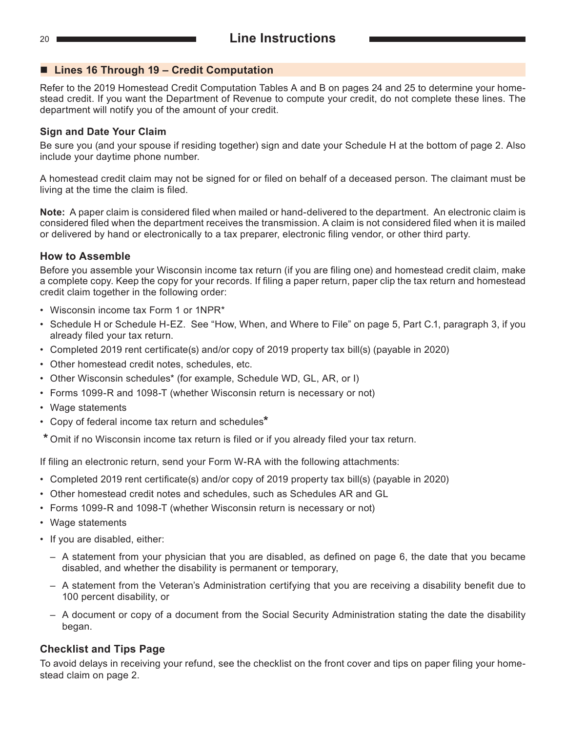#### ■ Lines 16 Through 19 – Credit Computation

Refer to the 2019 Homestead Credit Computation Tables A and B on pages 24 and 25 to determine your homestead credit. If you want the Department of Revenue to compute your credit, do not complete these lines. The department will notify you of the amount of your credit.

#### **Sign and Date Your Claim**

Be sure you (and your spouse if residing together) sign and date your Schedule H at the bottom of page 2. Also include your daytime phone number.

A homestead credit claim may not be signed for or filed on behalf of a deceased person. The claimant must be living at the time the claim is filed.

**Note:** A paper claim is considered filed when mailed or hand-delivered to the department. An electronic claim is considered filed when the department receives the transmission. A claim is not considered filed when it is mailed or delivered by hand or electronically to a tax preparer, electronic filing vendor, or other third party.

#### **How to Assemble**

Before you assemble your Wisconsin income tax return (if you are filing one) and homestead credit claim, make a complete copy. Keep the copy for your records. If filing a paper return, paper clip the tax return and homestead credit claim together in the following order:

- Wisconsin income tax Form 1 or 1NPR\*
- Schedule H or Schedule H-EZ. See "How, When, and Where to File" on page 5, Part C.1, paragraph 3, if you already filed your tax return.
- • Completed 2019 rent certificate(s) and/or copy of 2019 property tax bill(s) (payable in 2020)
- Other homestead credit notes, schedules, etc.
- Other Wisconsin schedules\* (for example, Schedule WD, GL, AR, or I)
- Forms 1099-R and 1098-T (whether Wisconsin return is necessary or not)
- Wage statements
- Copy of federal income tax return and schedules**\***
- **\*** Omit if no Wisconsin income tax return is filed or if you already filed your tax return.

If filing an electronic return, send your Form W-RA with the following attachments:

- • Completed 2019 rent certificate(s) and/or copy of 2019 property tax bill(s) (payable in 2020)
- Other homestead credit notes and schedules, such as Schedules AR and GL
- Forms 1099-R and 1098-T (whether Wisconsin return is necessary or not)
- Wage statements
- If you are disabled, either:
	- $-$  A statement from your physician that you are disabled, as defined on page 6, the date that you became disabled, and whether the disability is permanent or temporary,
	- – A statement from the Veteran's Administration certifying that you are receiving a disability benefit due to 100 percent disability, or
	- – A document or copy of a document from the Social Security Administration stating the date the disability began.

#### **Checklist and Tips Page**

To avoid delays in receiving your refund, see the checklist on the front cover and tips on paper filing your homestead claim on page 2.

<span id="page-19-0"></span>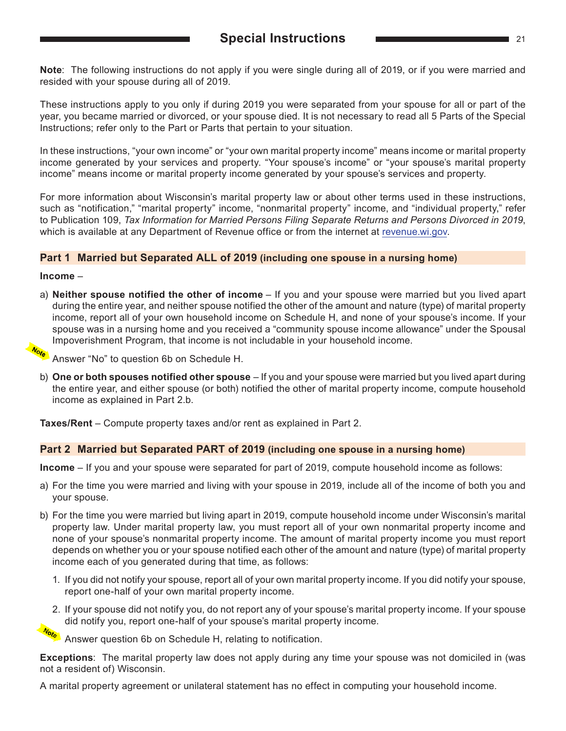<span id="page-20-0"></span>**Note**: The following instructions do not apply if you were single during all of 2019, or if you were married and resided with your spouse during all of 2019.

These instructions apply to you only if during 2019 you were separated from your spouse for all or part of the year, you became married or divorced, or your spouse died. It is not necessary to read all 5 Parts of the Special Instructions; refer only to the Part or Parts that pertain to your situation.

In these instructions, "your own income" or "your own marital property income" means income or marital property income generated by your services and property. "Your spouse's income" or "your spouse's marital property income" means income or marital property income generated by your spouse's services and property.

For more information about Wisconsin's marital property law or about other terms used in these instructions, such as "notification," "marital property" income, "nonmarital property" income, and "individual property," refer to Publication 109, *Tax Information for Married Persons Filing Separate Returns and Persons Divorced in 2019*, which is available at any Department of Revenue office or from the internet at [revenue.wi.gov.](https://www.revenue.wi.gov)

#### **Part 1 Married but Separated ALL of 2019 (including one spouse in a nursing home)**

#### **Income** –

a) **Neither spouse notified the other of income** – If you and your spouse were married but you lived apart during the entire year, and neither spouse notified the other of the amount and nature (type) of marital property income, report all of your own household income on Schedule H, and none of your spouse's income. If your spouse was in a nursing home and you received a "community spouse income allowance" under the Spousal Impoverishment Program, that income is not includable in your household income.

<mark>⁄‱</mark> Answer "No" to question 6b on Schedule H.

b) **One or both spouses notified other spouse** – If you and your spouse were married but you lived apart during the entire year, and either spouse (or both) notified the other of marital property income, compute household income as explained in Part 2.b.

**Taxes/Rent** – Compute property taxes and/or rent as explained in Part 2.

#### **Part 2 Married but Separated PART of 2019 (including one spouse in a nursing home)**

**Income** – If you and your spouse were separated for part of 2019, compute household income as follows:

- a) For the time you were married and living with your spouse in 2019, include all of the income of both you and your spouse.
- b) For the time you were married but living apart in 2019, compute household income under Wisconsin's marital property law. Under marital property law, you must report all of your own nonmarital property income and none of your spouse's nonmarital property income. The amount of marital property income you must report depends on whether you or your spouse notified each other of the amount and nature (type) of marital property income each of you generated during that time, as follows:
	- 1. If you did not notify your spouse, report all of your own marital property income. If you did notify your spouse, report one-half of your own marital property income.
	- 2. If your spouse did not notify you, do not report any of your spouse's marital property income. If your spouse did notify you, report one-half of your spouse's marital property income.

Answer question 6b on Schedule H, relating to notification.

**Exceptions**: The marital property law does not apply during any time your spouse was not domiciled in (was not a resident of) Wisconsin.

A marital property agreement or unilateral statement has no effect in computing your household income.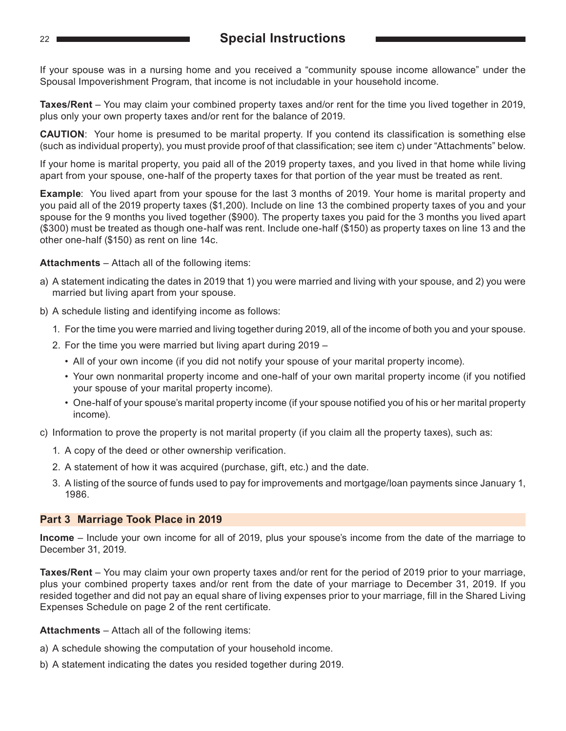#### <span id="page-21-0"></span><sup>22</sup> **Special Instructions**

If your spouse was in a nursing home and you received a "community spouse income allowance" under the Spousal Impoverishment Program, that income is not includable in your household income.

**Taxes/Rent** – You may claim your combined property taxes and/or rent for the time you lived together in 2019, plus only your own property taxes and/or rent for the balance of 2019.

**CAUTION**: Your home is presumed to be marital property. If you contend its classification is something else (such as individual property), you must provide proof of that classification; see item c) under "Attachments" below.

If your home is marital property, you paid all of the 2019 property taxes, and you lived in that home while living apart from your spouse, one-half of the property taxes for that portion of the year must be treated as rent.

**Example**: You lived apart from your spouse for the last 3 months of 2019. Your home is marital property and you paid all of the 2019 property taxes (\$1,200). Include on line 13 the combined property taxes of you and your spouse for the 9 months you lived together (\$900). The property taxes you paid for the 3 months you lived apart (\$300) must be treated as though one-half was rent. Include one-half (\$150) as property taxes on line 13 and the other one-half (\$150) as rent on line 14c.

**Attachments** – Attach all of the following items:

- a) A statement indicating the dates in 2019 that 1) you were married and living with your spouse, and 2) you were married but living apart from your spouse.
- b) A schedule listing and identifying income as follows:
	- 1. For the time you were married and living together during 2019, all of the income of both you and your spouse.
	- 2. For the time you were married but living apart during 2019
		- All of your own income (if you did not notify your spouse of your marital property income).
		- Your own nonmarital property income and one-half of your own marital property income (if you notified your spouse of your marital property income).
		- One-half of your spouse's marital property income (if your spouse notified you of his or her marital property income).
- c) Information to prove the property is not marital property (if you claim all the property taxes), such as:
	- 1. A copy of the deed or other ownership verification.
	- 2. A statement of how it was acquired (purchase, gift, etc.) and the date.
	- 3. A listing of the source of funds used to pay for improvements and mortgage/loan payments since January 1, 1986.

#### **Part 3 Marriage Took Place in 2019**

**Income** – Include your own income for all of 2019, plus your spouse's income from the date of the marriage to December 31, 2019.

**Taxes/Rent** – You may claim your own property taxes and/or rent for the period of 2019 prior to your marriage, plus your combined property taxes and/or rent from the date of your marriage to December 31, 2019. If you resided together and did not pay an equal share of living expenses prior to your marriage, fill in the Shared Living Expenses Schedule on page 2 of the rent certificate.

**Attachments** – Attach all of the following items:

- a) A schedule showing the computation of your household income.
- b) A statement indicating the dates you resided together during 2019.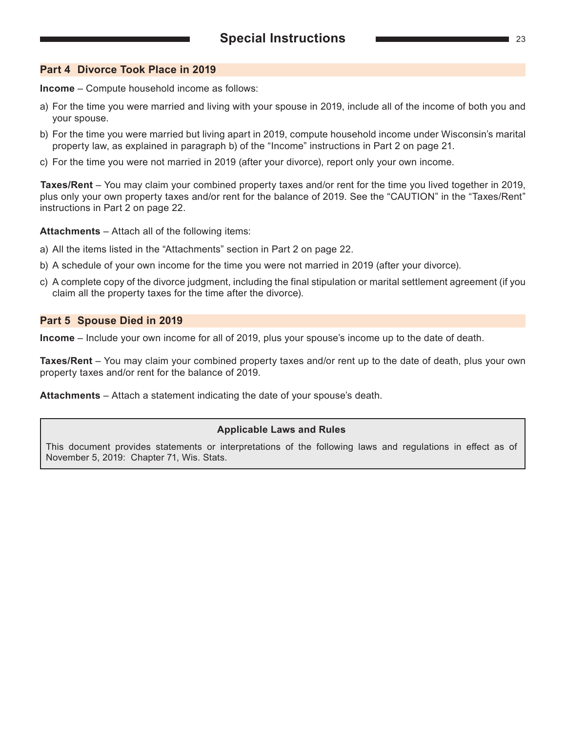#### <span id="page-22-0"></span>**Part 4 Divorce Took Place in 2019**

**Income** – Compute household income as follows:

- a) For the time you were married and living with your spouse in 2019, include all of the income of both you and your spouse.
- b) For the time you were married but living apart in 2019, compute household income under Wisconsin's marital property law, as explained in paragraph b) of the "Income" instructions in Part 2 on page 21.
- c) For the time you were not married in 2019 (after your divorce), report only your own income.

**Taxes/Rent** – You may claim your combined property taxes and/or rent for the time you lived together in 2019, plus only your own property taxes and/or rent for the balance of 2019. See the "CAUTION" in the "Taxes/Rent" instructions in Part 2 on page 22.

**Attachments** – Attach all of the following items:

- a) All the items listed in the "Attachments" section in Part 2 on page 22.
- b) A schedule of your own income for the time you were not married in 2019 (after your divorce).
- c) A complete copy of the divorce judgment, including the final stipulation or marital settlement agreement (if you claim all the property taxes for the time after the divorce).

#### **Part 5 Spouse Died in 2019**

**Income** – Include your own income for all of 2019, plus your spouse's income up to the date of death.

**Taxes/Rent** – You may claim your combined property taxes and/or rent up to the date of death, plus your own property taxes and/or rent for the balance of 2019.

**Attachments** – Attach a statement indicating the date of your spouse's death.

#### **Applicable Laws and Rules**

This document provides statements or interpretations of the following laws and regulations in effect as of November 5, 2019: Chapter 71, Wis. Stats.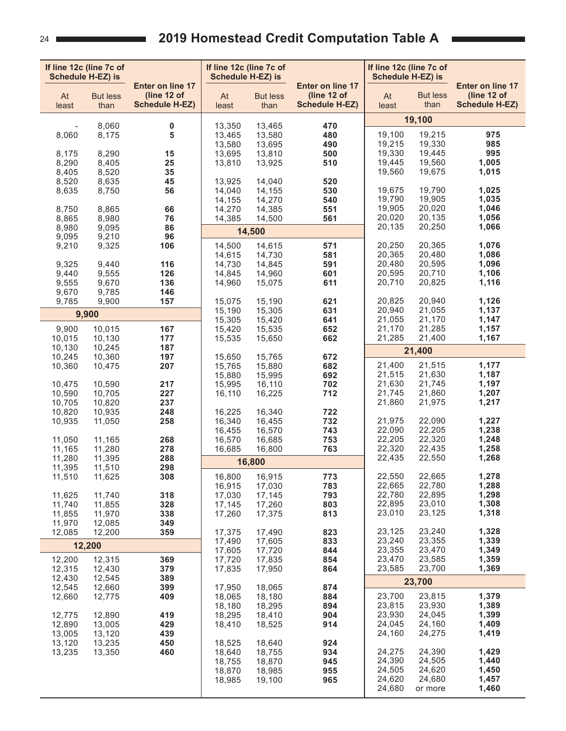## **2019 Homestead Credit Computation Table A**

<span id="page-23-0"></span>

| If line 12c (line 7c of<br><b>Schedule H-EZ) is</b> |                         |                                                          | If line 12c (line 7c of<br><b>Schedule H-EZ) is</b> |                         |                                                          | If line 12c (line 7c of<br><b>Schedule H-EZ) is</b> |                         |                                                          |
|-----------------------------------------------------|-------------------------|----------------------------------------------------------|-----------------------------------------------------|-------------------------|----------------------------------------------------------|-----------------------------------------------------|-------------------------|----------------------------------------------------------|
| At<br>least                                         | <b>But less</b><br>than | Enter on line 17<br>(line 12 of<br><b>Schedule H-EZ)</b> | At<br>least                                         | <b>But less</b><br>than | Enter on line 17<br>(line 12 of<br><b>Schedule H-EZ)</b> | At<br>least                                         | <b>But less</b><br>than | Enter on line 17<br>(line 12 of<br><b>Schedule H-EZ)</b> |
|                                                     |                         |                                                          |                                                     |                         |                                                          | 19,100                                              |                         |                                                          |
| 8,060                                               | 8,060<br>8,175          | 0<br>5                                                   | 13,350<br>13,465                                    | 13,465<br>13,580        | 470<br>480                                               | 19,100                                              | 19,215                  | 975                                                      |
|                                                     |                         |                                                          | 13,580                                              | 13,695                  | 490                                                      | 19,215                                              | 19,330                  | 985                                                      |
| 8,175                                               | 8,290                   | 15                                                       | 13,695                                              | 13,810                  | 500                                                      | 19,330                                              | 19,445                  | 995                                                      |
| 8,290<br>8,405                                      | 8,405<br>8,520          | 25<br>35                                                 | 13,810                                              | 13,925                  | 510                                                      | 19,445<br>19,560                                    | 19,560<br>19,675        | 1,005<br>1,015                                           |
| 8,520                                               | 8,635                   | 45                                                       | 13,925                                              | 14,040                  | 520                                                      |                                                     |                         |                                                          |
| 8,635                                               | 8,750                   | 56                                                       | 14,040                                              | 14,155                  | 530                                                      | 19,675                                              | 19,790                  | 1,025                                                    |
| 8,750                                               | 8,865                   | 66                                                       | 14,155<br>14,270                                    | 14,270<br>14,385        | 540<br>551                                               | 19,790<br>19,905                                    | 19,905<br>20,020        | 1,035<br>1,046                                           |
| 8,865                                               | 8,980                   | 76                                                       | 14,385                                              | 14,500                  | 561                                                      | 20,020                                              | 20,135                  | 1,056                                                    |
| 8,980                                               | 9,095                   | 86                                                       |                                                     | 14,500                  |                                                          | 20,135                                              | 20,250                  | 1,066                                                    |
| 9,095<br>9,210                                      | 9,210<br>9,325          | 96<br>106                                                | 14,500                                              | 14,615                  | 571                                                      | 20,250                                              | 20,365                  | 1,076                                                    |
|                                                     |                         |                                                          | 14,615                                              | 14,730                  | 581                                                      | 20,365                                              | 20,480                  | 1,086                                                    |
| 9,325                                               | 9,440                   | 116                                                      | 14,730                                              | 14,845                  | 591                                                      | 20,480                                              | 20,595                  | 1,096                                                    |
| 9,440<br>9,555                                      | 9,555<br>9,670          | 126<br>136                                               | 14,845<br>14,960                                    | 14,960<br>15,075        | 601<br>611                                               | 20,595<br>20,710                                    | 20,710<br>20,825        | 1,106<br>1,116                                           |
| 9,670                                               | 9,785                   | 146                                                      |                                                     |                         |                                                          |                                                     |                         |                                                          |
| 9,785                                               | 9,900                   | 157                                                      | 15,075                                              | 15,190                  | 621                                                      | 20,825                                              | 20,940                  | 1,126                                                    |
|                                                     | 9,900                   |                                                          | 15,190<br>15,305                                    | 15,305<br>15,420        | 631<br>641                                               | 20,940<br>21,055                                    | 21,055<br>21,170        | 1,137<br>1,147                                           |
| 9,900                                               | 10,015                  | 167                                                      | 15,420                                              | 15,535                  | 652                                                      | 21,170                                              | 21,285                  | 1,157                                                    |
| 10,015                                              | 10,130                  | 177                                                      | 15,535                                              | 15,650                  | 662                                                      | 21,285                                              | 21,400                  | 1,167                                                    |
| 10,130<br>10,245                                    | 10,245<br>10,360        | 187<br>197                                               | 15,650                                              | 15,765                  | 672                                                      |                                                     | 21,400                  |                                                          |
| 10,360                                              | 10,475                  | 207                                                      | 15,765                                              | 15,880                  | 682                                                      | 21,400                                              | 21,515                  | 1,177                                                    |
|                                                     |                         |                                                          | 15,880                                              | 15,995                  | 692                                                      | 21,515                                              | 21,630                  | 1,187                                                    |
| 10,475<br>10,590                                    | 10,590<br>10,705        | 217<br>227                                               | 15,995<br>16,110                                    | 16,110<br>16,225        | 702<br>712                                               | 21,630<br>21,745                                    | 21,745<br>21,860        | 1,197<br>1,207                                           |
| 10,705                                              | 10,820                  | 237                                                      |                                                     |                         |                                                          | 21,860                                              | 21,975                  | 1,217                                                    |
| 10,820                                              | 10,935                  | 248                                                      | 16,225                                              | 16,340                  | 722                                                      | 21,975                                              | 22,090                  |                                                          |
| 10,935                                              | 11,050                  | 258                                                      | 16,340<br>16,455                                    | 16,455<br>16,570        | 732<br>743                                               | 22,090                                              | 22,205                  | 1,227<br>1,238                                           |
| 11,050                                              | 11,165                  | 268                                                      | 16,570                                              | 16,685                  | 753                                                      | 22,205                                              | 22,320                  | 1,248                                                    |
| 11,165                                              | 11,280                  | 278                                                      | 16,685                                              | 16,800                  | 763                                                      | 22,320<br>22,435                                    | 22,435<br>22,550        | 1,258<br>1,268                                           |
| 11,280<br>11,395                                    | 11,395<br>11,510        | 288<br>298                                               |                                                     | 16,800                  |                                                          |                                                     |                         |                                                          |
| 11,510                                              | 11,625                  | 308                                                      | 16,800                                              | 16,915                  | 773                                                      | 22,550                                              | 22,665                  | 1,278                                                    |
| 11,625                                              | 11,740                  | 318                                                      | 16,915<br>17,030                                    | 17,030<br>17,145        | 783<br>793                                               | 22,665<br>22,780                                    | 22,780<br>22,895        | 1,288<br>1,298                                           |
| 11,740                                              | 11,855                  | 328                                                      | 17,145                                              | 17,260                  | 803                                                      | 22,895                                              | 23,010                  | 1,308                                                    |
| 11,855                                              | 11,970                  | 338                                                      | 17,260                                              | 17,375                  | 813                                                      | 23,010                                              | 23,125                  | 1,318                                                    |
| 11,970<br>12,085                                    | 12,085<br>12,200        | 349<br>359                                               | 17,375                                              | 17,490                  | 823                                                      | 23,125                                              | 23,240                  | 1,328                                                    |
|                                                     | 12,200                  |                                                          | 17,490                                              | 17,605                  | 833                                                      | 23,240                                              | 23,355                  | 1,339                                                    |
|                                                     |                         |                                                          | 17,605                                              | 17,720                  | 844                                                      | 23,355                                              | 23,470                  | 1,349                                                    |
| 12,200<br>12,315                                    | 12,315<br>12,430        | 369<br>379                                               | 17,720<br>17,835                                    | 17,835<br>17,950        | 854<br>864                                               | 23,470<br>23,585                                    | 23,585<br>23,700        | 1,359<br>1,369                                           |
| 12,430                                              | 12,545                  | 389                                                      |                                                     |                         |                                                          |                                                     | 23,700                  |                                                          |
| 12,545                                              | 12,660                  | 399                                                      | 17,950                                              | 18,065                  | 874                                                      |                                                     |                         | 1,379                                                    |
| 12,660                                              | 12,775                  | 409                                                      | 18,065<br>18,180                                    | 18,180<br>18,295        | 884<br>894                                               | 23,700<br>23,815                                    | 23,815<br>23,930        | 1,389                                                    |
| 12,775                                              | 12,890                  | 419                                                      | 18,295                                              | 18,410                  | 904                                                      | 23,930                                              | 24,045                  | 1,399                                                    |
| 12,890                                              | 13,005                  | 429                                                      | 18,410                                              | 18,525                  | 914                                                      | 24,045                                              | 24,160<br>24,275        | 1,409                                                    |
| 13,005<br>13,120                                    | 13,120<br>13,235        | 439<br>450                                               | 18,525                                              | 18,640                  | 924                                                      | 24,160                                              |                         | 1,419                                                    |
| 13,235                                              | 13,350                  | 460                                                      | 18,640                                              | 18,755                  | 934                                                      | 24,275                                              | 24,390                  | 1,429                                                    |
|                                                     |                         |                                                          | 18,755<br>18,870                                    | 18,870<br>18,985        | 945                                                      | 24,390<br>24,505                                    | 24,505<br>24,620        | 1,440<br>1,450                                           |
|                                                     |                         |                                                          | 18,985                                              | 19,100                  | 955<br>965                                               | 24,620                                              | 24,680                  | 1,457                                                    |
|                                                     |                         |                                                          |                                                     |                         |                                                          | 24,680                                              | or more                 | 1,460                                                    |